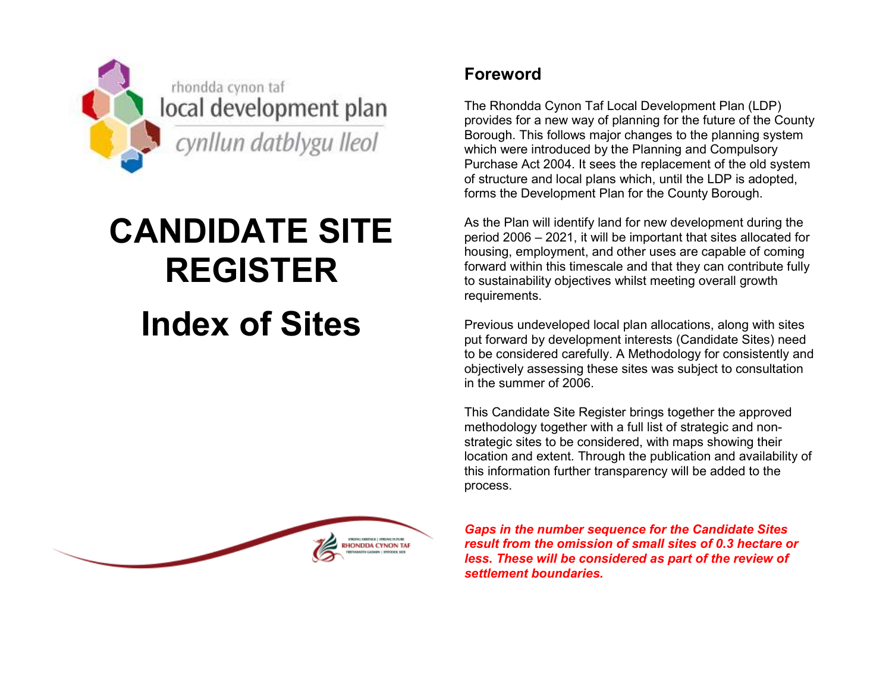

## CANDIDATE SITE REGISTER

## Index of Sites



## Foreword

The Rhondda Cynon Taf Local Development Plan (LDP) provides for a new way of planning for the future of the County Borough. This follows major changes to the planning system which were introduced by the Planning and Compulsory Purchase Act 2004. It sees the replacement of the old system of structure and local plans which, until the LDP is adopted, forms the Development Plan for the County Borough.

As the Plan will identify land for new development during the period 2006 – 2021, it will be important that sites allocated for housing, employment, and other uses are capable of coming forward within this timescale and that they can contribute fully to sustainability objectives whilst meeting overall growth requirements.

Previous undeveloped local plan allocations, along with sites put forward by development interests (Candidate Sites) need to be considered carefully. A Methodology for consistently and objectively assessing these sites was subject to consultation in the summer of 2006.

This Candidate Site Register brings together the approved methodology together with a full list of strategic and nonstrategic sites to be considered, with maps showing their location and extent. Through the publication and availability of this information further transparency will be added to the process.

Gaps in the number sequence for the Candidate Sites result from the omission of small sites of 0.3 hectare or less. These will be considered as part of the review of settlement boundaries.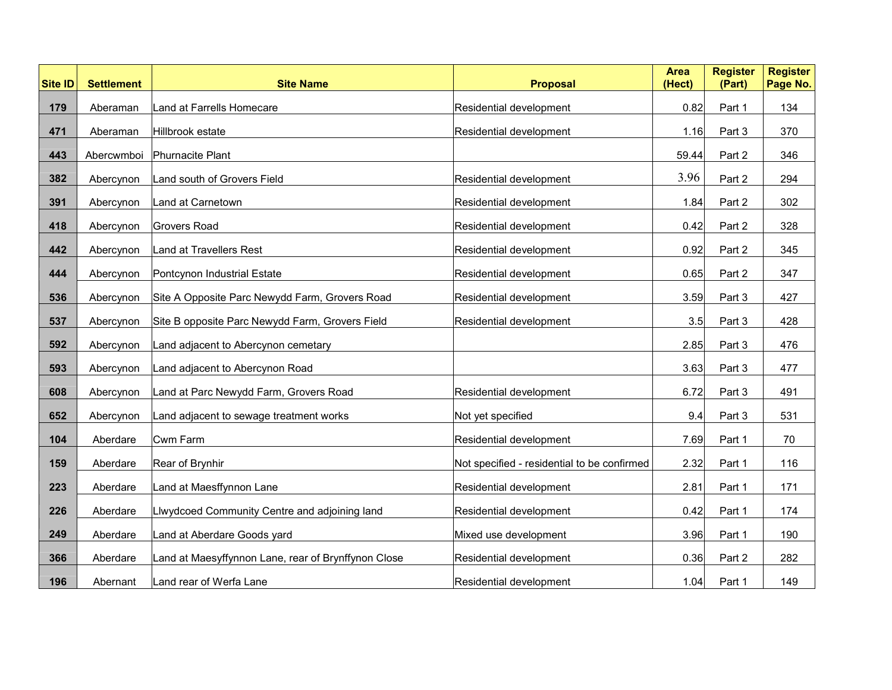| <b>Site ID</b> | <b>Settlement</b> | <b>Site Name</b>                                    | <b>Proposal</b>                             | <b>Area</b><br>(Hect) | <b>Register</b><br>(Part) | <b>Register</b><br>Page No. |
|----------------|-------------------|-----------------------------------------------------|---------------------------------------------|-----------------------|---------------------------|-----------------------------|
| 179            | Aberaman          | Land at Farrells Homecare                           | Residential development                     | 0.82                  | Part 1                    | 134                         |
| 471            | Aberaman          | Hillbrook estate                                    | Residential development                     | 1.16                  | Part 3                    | 370                         |
| 443            | Abercwmboi        | Phurnacite Plant                                    |                                             | 59.44                 | Part 2                    | 346                         |
| 382            | Abercynon         | Land south of Grovers Field                         | Residential development                     | 3.96                  | Part 2                    | 294                         |
| 391            | Abercynon         | Land at Carnetown                                   | Residential development                     | 1.84                  | Part 2                    | 302                         |
| 418            | Abercynon         | <b>Grovers Road</b>                                 | Residential development                     | 0.42                  | Part 2                    | 328                         |
| 442            | Abercynon         | <b>Land at Travellers Rest</b>                      | Residential development                     | 0.92                  | Part 2                    | 345                         |
| 444            | Abercynon         | Pontcynon Industrial Estate                         | Residential development                     | 0.65                  | Part 2                    | 347                         |
| 536            | Abercynon         | Site A Opposite Parc Newydd Farm, Grovers Road      | Residential development                     | 3.59                  | Part 3                    | 427                         |
| 537            |                   |                                                     |                                             |                       |                           | 428                         |
|                | Abercynon         | Site B opposite Parc Newydd Farm, Grovers Field     | Residential development                     | 3.5                   | Part 3                    |                             |
| 592            | Abercynon         | Land adjacent to Abercynon cemetary                 |                                             | 2.85                  | Part 3                    | 476                         |
| 593            | Abercynon         | Land adjacent to Abercynon Road                     |                                             | 3.63                  | Part 3                    | 477                         |
| 608            | Abercynon         | Land at Parc Newydd Farm, Grovers Road              | Residential development                     | 6.72                  | Part 3                    | 491                         |
| 652            | Abercynon         | Land adjacent to sewage treatment works             | Not yet specified                           | 9.4                   | Part 3                    | 531                         |
| 104            | Aberdare          | <b>Cwm Farm</b>                                     | Residential development                     | 7.69                  | Part 1                    | 70                          |
| 159            | Aberdare          | Rear of Brynhir                                     | Not specified - residential to be confirmed | 2.32                  | Part 1                    | 116                         |
| 223            | Aberdare          | Land at Maesffynnon Lane                            | Residential development                     | 2.81                  | Part 1                    | 171                         |
| 226            | Aberdare          | Llwydcoed Community Centre and adjoining land       | Residential development                     | 0.42                  | Part 1                    | 174                         |
| 249            | Aberdare          | Land at Aberdare Goods yard                         | Mixed use development                       | 3.96                  | Part 1                    | 190                         |
| 366            | Aberdare          | Land at Maesyffynnon Lane, rear of Brynffynon Close | Residential development                     | 0.36                  | Part 2                    | 282                         |
| 196            | Abernant          | Land rear of Werfa Lane                             | Residential development                     | 1.04                  | Part 1                    | 149                         |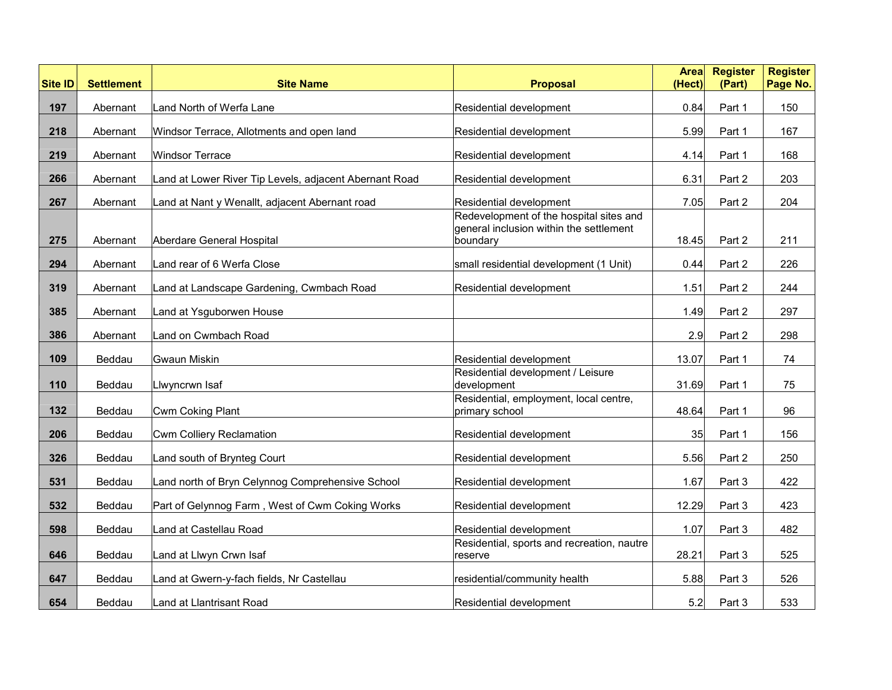| <b>Site ID</b> | <b>Settlement</b> | <b>Site Name</b>                                                      | <b>Proposal</b>                                                                                | <b>Area</b><br>(Hect) | <b>Register</b><br>(Part) | <b>Register</b><br>Page No. |
|----------------|-------------------|-----------------------------------------------------------------------|------------------------------------------------------------------------------------------------|-----------------------|---------------------------|-----------------------------|
| 197            | Abernant          | Land North of Werfa Lane                                              | Residential development                                                                        | 0.84                  | Part 1                    | 150                         |
| 218            | Abernant          | Windsor Terrace, Allotments and open land                             | Residential development                                                                        | 5.99                  | Part 1                    | 167                         |
| 219            | Abernant          | <b>Windsor Terrace</b>                                                | Residential development                                                                        | 4.14                  | Part 1                    | 168                         |
| 266            | Abernant          | Land at Lower River Tip Levels, adjacent Abernant Road                | Residential development                                                                        | 6.31                  | Part 2                    | 203                         |
| 267            | Abernant          | Land at Nant y Wenallt, adjacent Abernant road                        | Residential development                                                                        | 7.05                  | Part 2                    | 204                         |
| 275            | Abernant          | Aberdare General Hospital                                             | Redevelopment of the hospital sites and<br>general inclusion within the settlement<br>boundary | 18.45                 | Part 2                    | 211                         |
| 294            | Abernant          | Land rear of 6 Werfa Close                                            | small residential development (1 Unit)                                                         | 0.44                  | Part 2                    | 226                         |
| 319            | Abernant          | Land at Landscape Gardening, Cwmbach Road                             | Residential development                                                                        | 1.51                  | Part 2                    | 244                         |
| 385            | Abernant          | Land at Ysguborwen House                                              |                                                                                                | 1.49                  | Part 2                    | 297                         |
| 386            | Abernant          | Land on Cwmbach Road                                                  |                                                                                                | 2.9                   | Part 2                    | 298                         |
| 109            | Beddau            | <b>Gwaun Miskin</b>                                                   | Residential development                                                                        | 13.07                 | Part 1                    | 74                          |
| 110            | Beddau            | Llwyncrwn Isaf                                                        | Residential development / Leisure<br>development                                               | 31.69                 | Part 1                    | 75                          |
| 132            | Beddau            | Cwm Coking Plant                                                      | Residential, employment, local centre,<br>primary school                                       | 48.64                 | Part 1                    | 96                          |
| 206            | Beddau            | Cwm Colliery Reclamation                                              | Residential development                                                                        | 35                    | Part 1                    | 156                         |
| 326            | Beddau            | Land south of Brynteg Court                                           | Residential development                                                                        | 5.56                  | Part 2                    | 250                         |
| 531            | Beddau            | Land north of Bryn Celynnog Comprehensive School                      | Residential development                                                                        | 1.67                  | Part 3                    | 422                         |
| 532            | Beddau            | Part of Gelynnog Farm, West of Cwm Coking Works                       | Residential development                                                                        | 12.29                 | Part 3                    | 423                         |
| 598            | Beddau            | Land at Castellau Road                                                | Residential development                                                                        | 1.07                  | Part 3                    | 482                         |
| 646            | Beddau            | Land at Llwyn Crwn Isaf                                               | Residential, sports and recreation, nautre<br>reserve                                          | 28.21                 | Part 3                    | 525                         |
| 647            | Beddau            |                                                                       |                                                                                                |                       |                           | 526                         |
| 654            | Beddau            | Land at Gwern-y-fach fields, Nr Castellau<br>Land at Llantrisant Road | residential/community health<br>Residential development                                        | 5.88<br>5.2           | Part 3<br>Part 3          | 533                         |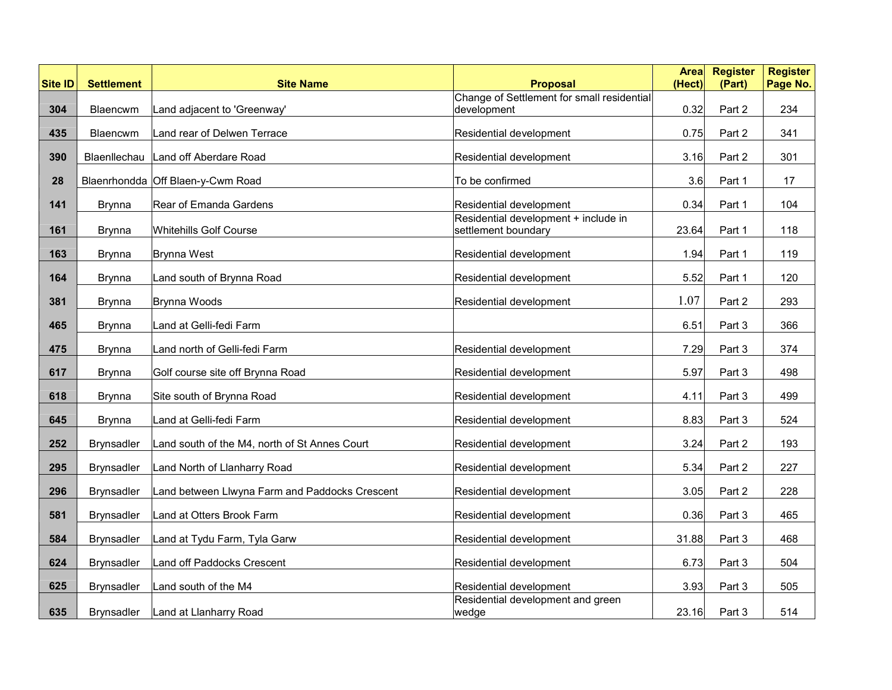| <b>Site ID</b> | <b>Settlement</b> | <b>Site Name</b>                               | <b>Proposal</b>                                             | <b>Area</b><br>(Hect) | <b>Register</b><br>(Part) | <b>Register</b><br>Page No. |
|----------------|-------------------|------------------------------------------------|-------------------------------------------------------------|-----------------------|---------------------------|-----------------------------|
|                |                   |                                                | Change of Settlement for small residential                  |                       |                           |                             |
| 304            | Blaencwm          | Land adjacent to 'Greenway'                    | development                                                 | 0.32                  | Part 2                    | 234                         |
| 435            | Blaencwm          | Land rear of Delwen Terrace                    | Residential development                                     | 0.75                  | Part 2                    | 341                         |
| 390            | Blaenllechau      | Land off Aberdare Road                         | Residential development                                     | 3.16                  | Part 2                    | 301                         |
| 28             |                   | Blaenrhondda Off Blaen-y-Cwm Road              | To be confirmed                                             | 3.6                   | Part 1                    | 17                          |
| 141            | <b>Brynna</b>     | Rear of Emanda Gardens                         | Residential development                                     | 0.34                  | Part 1                    | 104                         |
| 161            | Brynna            | <b>Whitehills Golf Course</b>                  | Residential development + include in<br>settlement boundary | 23.64                 | Part 1                    | 118                         |
|                |                   |                                                |                                                             |                       |                           |                             |
| 163            | <b>Brynna</b>     | <b>Brynna West</b>                             | Residential development                                     | 1.94                  | Part 1                    | 119                         |
| 164            | <b>Brynna</b>     | Land south of Brynna Road                      | Residential development                                     | 5.52                  | Part 1                    | 120                         |
| 381            | <b>Brynna</b>     | Brynna Woods                                   | Residential development                                     | 1.07                  | Part 2                    | 293                         |
| 465            | <b>Brynna</b>     | Land at Gelli-fedi Farm                        |                                                             | 6.51                  | Part 3                    | 366                         |
| 475            | Brynna            | Land north of Gelli-fedi Farm                  | Residential development                                     | 7.29                  | Part 3                    | 374                         |
| 617            | <b>Brynna</b>     | Golf course site off Brynna Road               | Residential development                                     | 5.97                  | Part 3                    | 498                         |
| 618            | Brynna            | Site south of Brynna Road                      | Residential development                                     | 4.11                  | Part 3                    | 499                         |
| 645            | Brynna            | Land at Gelli-fedi Farm                        | Residential development                                     | 8.83                  | Part 3                    | 524                         |
| 252            | <b>Brynsadler</b> | Land south of the M4, north of St Annes Court  | Residential development                                     | 3.24                  | Part 2                    | 193                         |
| 295            | <b>Brynsadler</b> | Land North of Llanharry Road                   | Residential development                                     | 5.34                  | Part 2                    | 227                         |
| 296            | <b>Brynsadler</b> | Land between Llwyna Farm and Paddocks Crescent | Residential development                                     | 3.05                  | Part 2                    | 228                         |
| 581            | <b>Brynsadler</b> | Land at Otters Brook Farm                      | Residential development                                     | 0.36                  | Part 3                    | 465                         |
| 584            | <b>Brynsadler</b> | Land at Tydu Farm, Tyla Garw                   | Residential development                                     | 31.88                 | Part 3                    | 468                         |
| 624            | <b>Brynsadler</b> | Land off Paddocks Crescent                     | Residential development                                     | 6.73                  | Part 3                    | 504                         |
| 625            | <b>Brynsadler</b> | Land south of the M4                           | Residential development                                     | 3.93                  | Part 3                    | 505                         |
| 635            | <b>Brynsadler</b> | Land at Llanharry Road                         | Residential development and green<br>wedge                  | 23.16                 | Part 3                    | 514                         |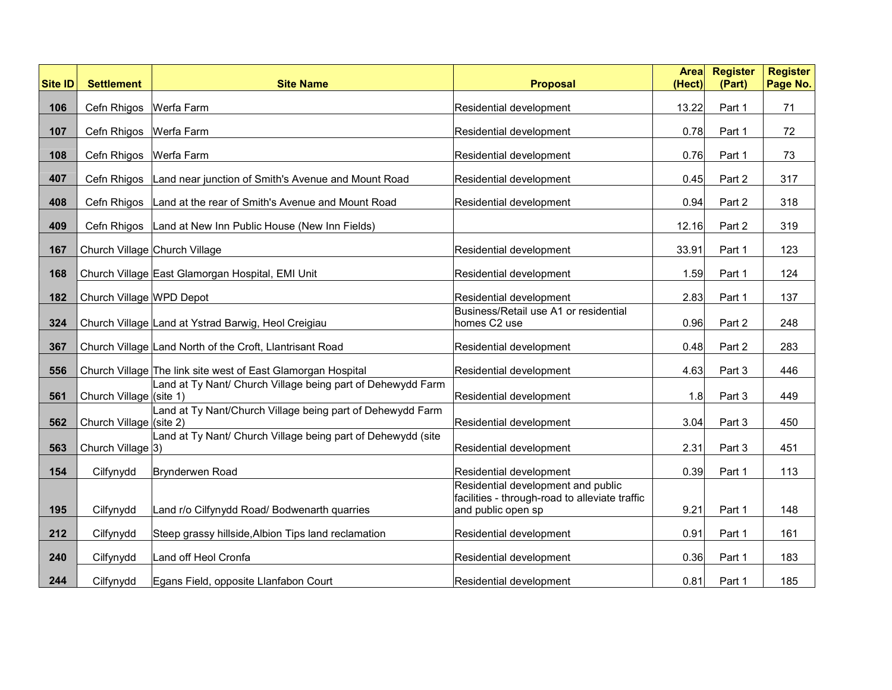| <b>Site ID</b> | <b>Settlement</b>        | <b>Site Name</b>                                                | <b>Proposal</b>                                                      | <b>Area</b><br>(Hect) | <b>Register</b><br>(Part) | <b>Register</b><br>Page No. |
|----------------|--------------------------|-----------------------------------------------------------------|----------------------------------------------------------------------|-----------------------|---------------------------|-----------------------------|
| 106            | Cefn Rhigos   Werfa Farm |                                                                 | Residential development                                              | 13.22                 | Part 1                    | 71                          |
| 107            | Cefn Rhigos   Werfa Farm |                                                                 | Residential development                                              | 0.78                  | Part 1                    | 72                          |
| 108            | Cefn Rhigos   Werfa Farm |                                                                 | Residential development                                              | 0.76                  | Part 1                    | 73                          |
|                |                          |                                                                 |                                                                      |                       |                           |                             |
| 407            | Cefn Rhigos              | Land near junction of Smith's Avenue and Mount Road             | Residential development                                              | 0.45                  | Part 2                    | 317                         |
| 408            |                          | Cefn Rhigos   Land at the rear of Smith's Avenue and Mount Road | Residential development                                              | 0.94                  | Part 2                    | 318                         |
| 409            |                          | Cefn Rhigos   Land at New Inn Public House (New Inn Fields)     |                                                                      | 12.16                 | Part 2                    | 319                         |
| 167            |                          | Church Village Church Village                                   | Residential development                                              | 33.91                 | Part 1                    | 123                         |
| 168            |                          | Church Village East Glamorgan Hospital, EMI Unit                | Residential development                                              | 1.59                  | Part 1                    | 124                         |
| 182            |                          |                                                                 | Residential development                                              | 2.83                  | Part 1                    | 137                         |
|                | Church Village WPD Depot |                                                                 | Business/Retail use A1 or residential                                |                       |                           |                             |
| 324            |                          | Church Village Land at Ystrad Barwig, Heol Creigiau             | homes C2 use                                                         | 0.96                  | Part 2                    | 248                         |
| 367            |                          | Church Village Land North of the Croft, Llantrisant Road        | Residential development                                              | 0.48                  | Part 2                    | 283                         |
| 556            |                          | Church Village The link site west of East Glamorgan Hospital    | Residential development                                              | 4.63                  | Part 3                    | 446                         |
| 561            | Church Village (site 1)  | Land at Ty Nant/ Church Village being part of Dehewydd Farm     | Residential development                                              | 1.8                   | Part 3                    | 449                         |
|                |                          | Land at Ty Nant/Church Village being part of Dehewydd Farm      |                                                                      |                       |                           |                             |
| 562            | Church Village (site 2)  | Land at Ty Nant/ Church Village being part of Dehewydd (site    | Residential development                                              | 3.04                  | Part 3                    | 450                         |
| 563            | Church Village 3)        |                                                                 | Residential development                                              | 2.31                  | Part 3                    | 451                         |
| 154            | Cilfynydd                | Brynderwen Road                                                 | Residential development                                              | 0.39                  | Part 1                    | 113                         |
|                |                          |                                                                 | Residential development and public                                   |                       |                           |                             |
| 195            | Cilfynydd                | Land r/o Cilfynydd Road/ Bodwenarth quarries                    | facilities - through-road to alleviate traffic<br>and public open sp | 9.21                  | Part 1                    | 148                         |
| 212            | Cilfynydd                | Steep grassy hillside, Albion Tips land reclamation             | Residential development                                              | 0.91                  | Part 1                    | 161                         |
| 240            | Cilfynydd                | Land off Heol Cronfa                                            | Residential development                                              | 0.36                  | Part 1                    | 183                         |
| 244            | Cilfynydd                | Egans Field, opposite Llanfabon Court                           | Residential development                                              | 0.81                  | Part 1                    | 185                         |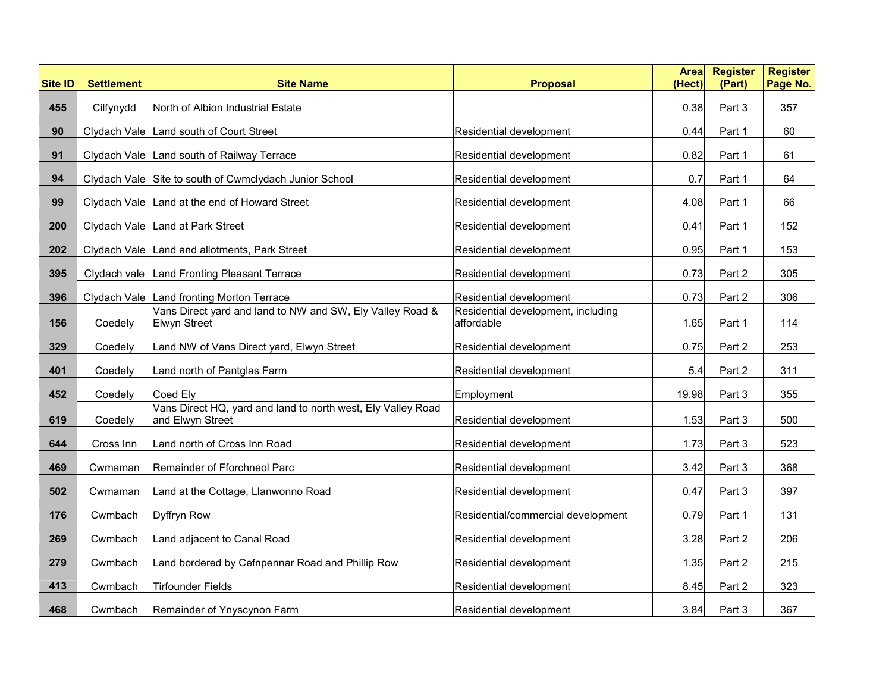| <b>Site ID</b> | <b>Settlement</b> | <b>Site Name</b>                                                                 | <b>Proposal</b>                                  | <b>Area</b><br>(Hect) | <b>Register</b><br>(Part) | <b>Register</b><br>Page No. |
|----------------|-------------------|----------------------------------------------------------------------------------|--------------------------------------------------|-----------------------|---------------------------|-----------------------------|
| 455            | Cilfynydd         | North of Albion Industrial Estate                                                |                                                  | 0.38                  | Part 3                    | 357                         |
| 90             |                   | Clydach Vale Land south of Court Street                                          | Residential development                          | 0.44                  | Part 1                    | 60                          |
| 91             |                   | Clydach Vale Land south of Railway Terrace                                       | Residential development                          | 0.82                  | Part 1                    | 61                          |
| 94             |                   | Clydach Vale Site to south of Cwmclydach Junior School                           | Residential development                          | 0.7                   | Part 1                    | 64                          |
| 99             |                   | Clydach Vale Land at the end of Howard Street                                    | Residential development                          | 4.08                  | Part 1                    | 66                          |
| 200            |                   | Clydach Vale Land at Park Street                                                 | Residential development                          | 0.41                  | Part 1                    | 152                         |
| 202            |                   | Clydach Vale Land and allotments, Park Street                                    | Residential development                          | 0.95                  | Part 1                    | 153                         |
| 395            |                   | Clydach vale Land Fronting Pleasant Terrace                                      | Residential development                          | 0.73                  | Part 2                    | 305                         |
| 396            |                   | Clydach Vale Land fronting Morton Terrace                                        | Residential development                          | 0.73                  | Part 2                    | 306                         |
| 156            | Coedely           | Vans Direct yard and land to NW and SW, Ely Valley Road &<br><b>Elwyn Street</b> | Residential development, including<br>affordable | 1.65                  | Part 1                    | 114                         |
| 329            | Coedely           | Land NW of Vans Direct yard, Elwyn Street                                        | Residential development                          | 0.75                  | Part 2                    | 253                         |
| 401            | Coedely           | Land north of Pantglas Farm                                                      | Residential development                          | 5.4                   | Part 2                    | 311                         |
| 452            | Coedely           | Coed Ely                                                                         | Employment                                       | 19.98                 | Part 3                    | 355                         |
| 619            | Coedely           | Vans Direct HQ, yard and land to north west, Ely Valley Road<br>and Elwyn Street | Residential development                          | 1.53                  | Part 3                    | 500                         |
| 644            | Cross Inn         | Land north of Cross Inn Road                                                     | Residential development                          | 1.73                  | Part 3                    | 523                         |
| 469            | Cwmaman           | Remainder of Fforchneol Parc                                                     | Residential development                          | 3.42                  | Part 3                    | 368                         |
| 502            | Cwmaman           | Land at the Cottage, Llanwonno Road                                              | Residential development                          | 0.47                  | Part 3                    | 397                         |
| 176            | Cwmbach           | Dyffryn Row                                                                      | Residential/commercial development               | 0.79                  | Part 1                    | 131                         |
| 269            | Cwmbach           | Land adjacent to Canal Road                                                      | Residential development                          | 3.28                  | Part 2                    | 206                         |
| 279            | Cwmbach           | Land bordered by Cefnpennar Road and Phillip Row                                 | Residential development                          | 1.35                  | Part 2                    | 215                         |
| 413            | Cwmbach           | <b>Tirfounder Fields</b>                                                         | Residential development                          | 8.45                  | Part 2                    | 323                         |
| 468            | Cwmbach           | Remainder of Ynyscynon Farm                                                      | Residential development                          | 3.84                  | Part 3                    | 367                         |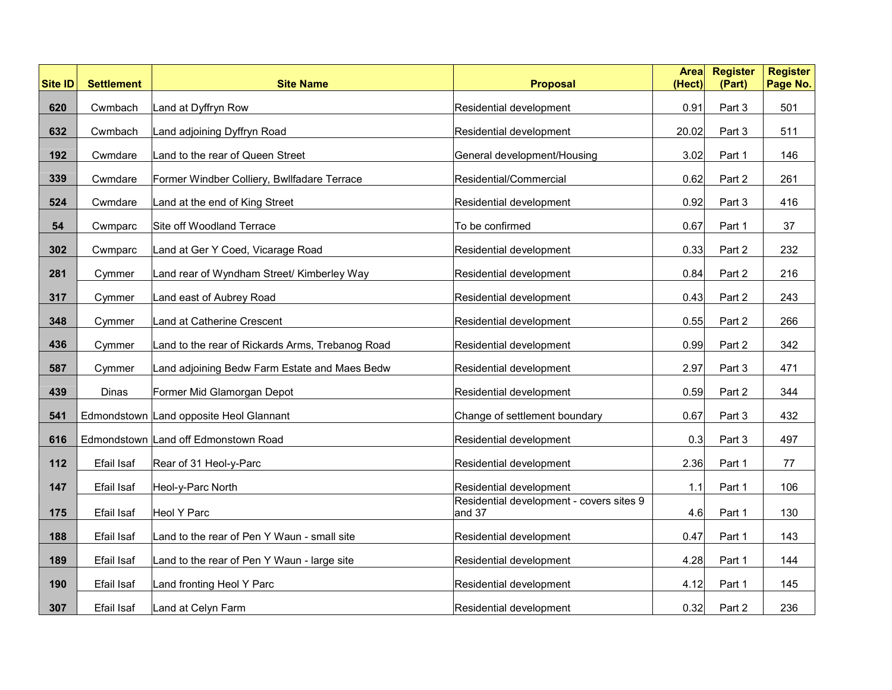| <b>Site ID</b> | <b>Settlement</b> | <b>Site Name</b>                                 | <b>Proposal</b>                                    | <b>Area</b><br>(Hect) | <b>Register</b><br>(Part) | <b>Register</b><br>Page No. |
|----------------|-------------------|--------------------------------------------------|----------------------------------------------------|-----------------------|---------------------------|-----------------------------|
| 620            | Cwmbach           | Land at Dyffryn Row                              | Residential development                            | 0.91                  | Part 3                    | 501                         |
| 632            | Cwmbach           | Land adjoining Dyffryn Road                      | Residential development                            | 20.02                 | Part 3                    | 511                         |
| 192            | Cwmdare           | Land to the rear of Queen Street                 | General development/Housing                        | 3.02                  | Part 1                    | 146                         |
| 339            | Cwmdare           | Former Windber Colliery, Bwllfadare Terrace      | Residential/Commercial                             | 0.62                  | Part 2                    | 261                         |
| 524            | Cwmdare           | Land at the end of King Street                   | Residential development                            | 0.92                  | Part 3                    | 416                         |
| 54             | Cwmparc           | Site off Woodland Terrace                        | To be confirmed                                    | 0.67                  | Part 1                    | 37                          |
| 302            | Cwmparc           | Land at Ger Y Coed, Vicarage Road                | Residential development                            | 0.33                  | Part 2                    | 232                         |
| 281            | Cymmer            | Land rear of Wyndham Street/ Kimberley Way       | Residential development                            | 0.84                  | Part 2                    | 216                         |
| 317            | Cymmer            | Land east of Aubrey Road                         | Residential development                            | 0.43                  | Part 2                    | 243                         |
| 348            | Cymmer            | Land at Catherine Crescent                       | Residential development                            | 0.55                  | Part 2                    | 266                         |
| 436            | Cymmer            | Land to the rear of Rickards Arms, Trebanog Road | Residential development                            | 0.99                  | Part 2                    | 342                         |
| 587            | Cymmer            | Land adjoining Bedw Farm Estate and Maes Bedw    | Residential development                            | 2.97                  | Part 3                    | 471                         |
| 439            | Dinas             | Former Mid Glamorgan Depot                       | Residential development                            | 0.59                  | Part 2                    | 344                         |
| 541            |                   | Edmondstown Land opposite Heol Glannant          | Change of settlement boundary                      | 0.67                  | Part 3                    | 432                         |
| 616            |                   | Edmondstown Land off Edmonstown Road             | Residential development                            | 0.3                   | Part 3                    | 497                         |
| 112            | Efail Isaf        | Rear of 31 Heol-y-Parc                           | Residential development                            | 2.36                  | Part 1                    | 77                          |
| 147            | Efail Isaf        | Heol-y-Parc North                                | Residential development                            | 1.1                   | Part 1                    | 106                         |
| 175            | Efail Isaf        | Heol Y Parc                                      | Residential development - covers sites 9<br>and 37 | 4.6                   | Part 1                    | 130                         |
| 188            | Efail Isaf        | Land to the rear of Pen Y Waun - small site      | Residential development                            | 0.47                  | Part 1                    | 143                         |
| 189            | Efail Isaf        | Land to the rear of Pen Y Waun - large site      | Residential development                            | 4.28                  | Part 1                    | 144                         |
| 190            | Efail Isaf        | Land fronting Heol Y Parc                        | Residential development                            | 4.12                  | Part 1                    | 145                         |
| 307            | Efail Isaf        | Land at Celyn Farm                               | Residential development                            | 0.32                  | Part 2                    | 236                         |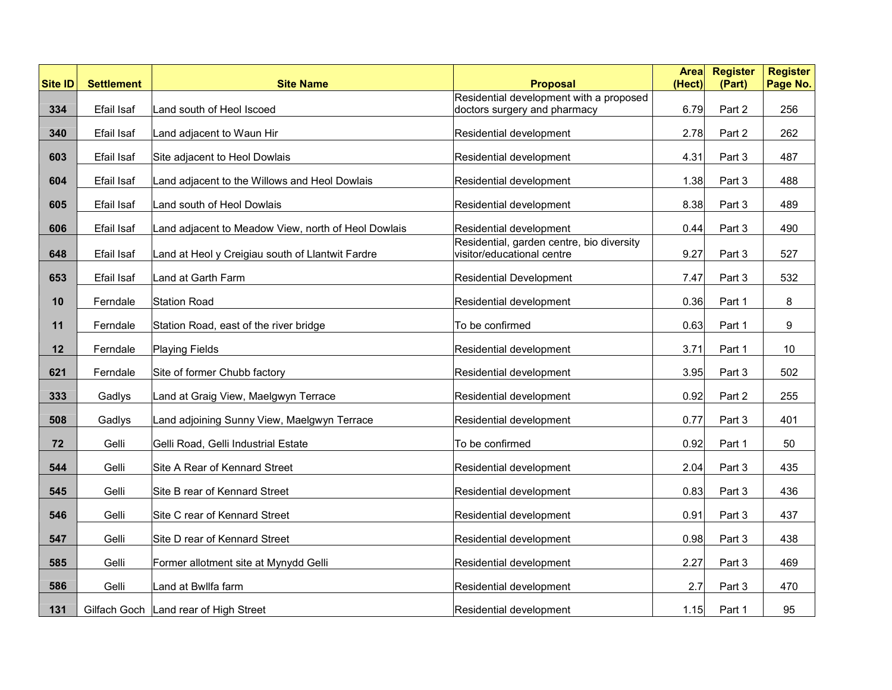| <b>Site ID</b> | <b>Settlement</b> | <b>Site Name</b>                                    | <b>Proposal</b>                                                         | <b>Area</b><br>(Hect) | <b>Register</b><br>(Part) | <b>Register</b><br>Page No. |
|----------------|-------------------|-----------------------------------------------------|-------------------------------------------------------------------------|-----------------------|---------------------------|-----------------------------|
|                |                   |                                                     | Residential development with a proposed                                 |                       |                           |                             |
| 334            | Efail Isaf        | Land south of Heol Iscoed                           | doctors surgery and pharmacy                                            | 6.79                  | Part 2                    | 256                         |
| 340            | Efail Isaf        | Land adjacent to Waun Hir                           | Residential development                                                 | 2.78                  | Part 2                    | 262                         |
| 603            | Efail Isaf        | Site adjacent to Heol Dowlais                       | Residential development                                                 | 4.31                  | Part 3                    | 487                         |
| 604            | Efail Isaf        | Land adjacent to the Willows and Heol Dowlais       | Residential development                                                 | 1.38                  | Part 3                    | 488                         |
| 605            | Efail Isaf        | Land south of Heol Dowlais                          | Residential development                                                 | 8.38                  | Part 3                    | 489                         |
| 606            | Efail Isaf        | Land adjacent to Meadow View, north of Heol Dowlais | Residential development                                                 | 0.44                  | Part 3                    | 490                         |
| 648            | Efail Isaf        | Land at Heol y Creigiau south of Llantwit Fardre    | Residential, garden centre, bio diversity<br>visitor/educational centre | 9.27                  | Part 3                    | 527                         |
| 653            | Efail Isaf        | Land at Garth Farm                                  | <b>Residential Development</b>                                          | 7.47                  | Part 3                    | 532                         |
|                |                   |                                                     |                                                                         |                       |                           |                             |
| 10             | Ferndale          | <b>Station Road</b>                                 | Residential development                                                 | 0.36                  | Part 1                    | 8                           |
| 11             | Ferndale          | Station Road, east of the river bridge              | To be confirmed                                                         | 0.63                  | Part 1                    | 9                           |
| 12             | Ferndale          | <b>Playing Fields</b>                               | Residential development                                                 | 3.71                  | Part 1                    | 10                          |
| 621            | Ferndale          | Site of former Chubb factory                        | Residential development                                                 | 3.95                  | Part 3                    | 502                         |
| 333            | Gadlys            | Land at Graig View, Maelgwyn Terrace                | Residential development                                                 | 0.92                  | Part 2                    | 255                         |
| 508            | Gadlys            | Land adjoining Sunny View, Maelgwyn Terrace         | Residential development                                                 | 0.77                  | Part 3                    | 401                         |
| 72             | Gelli             | Gelli Road, Gelli Industrial Estate                 | To be confirmed                                                         | 0.92                  | Part 1                    | 50                          |
| 544            | Gelli             | Site A Rear of Kennard Street                       | Residential development                                                 | 2.04                  | Part 3                    | 435                         |
| 545            | Gelli             | Site B rear of Kennard Street                       | Residential development                                                 | 0.83                  | Part 3                    | 436                         |
| 546            | Gelli             | Site C rear of Kennard Street                       | Residential development                                                 | 0.91                  | Part 3                    | 437                         |
| 547            | Gelli             | Site D rear of Kennard Street                       | Residential development                                                 | 0.98                  | Part 3                    | 438                         |
| 585            | Gelli             | Former allotment site at Mynydd Gelli               | Residential development                                                 | 2.27                  | Part 3                    | 469                         |
| 586            | Gelli             | Land at Bwllfa farm                                 | Residential development                                                 | 2.7                   | Part 3                    | 470                         |
| 131            |                   | Gilfach Goch   Land rear of High Street             | Residential development                                                 | 1.15                  | Part 1                    | 95                          |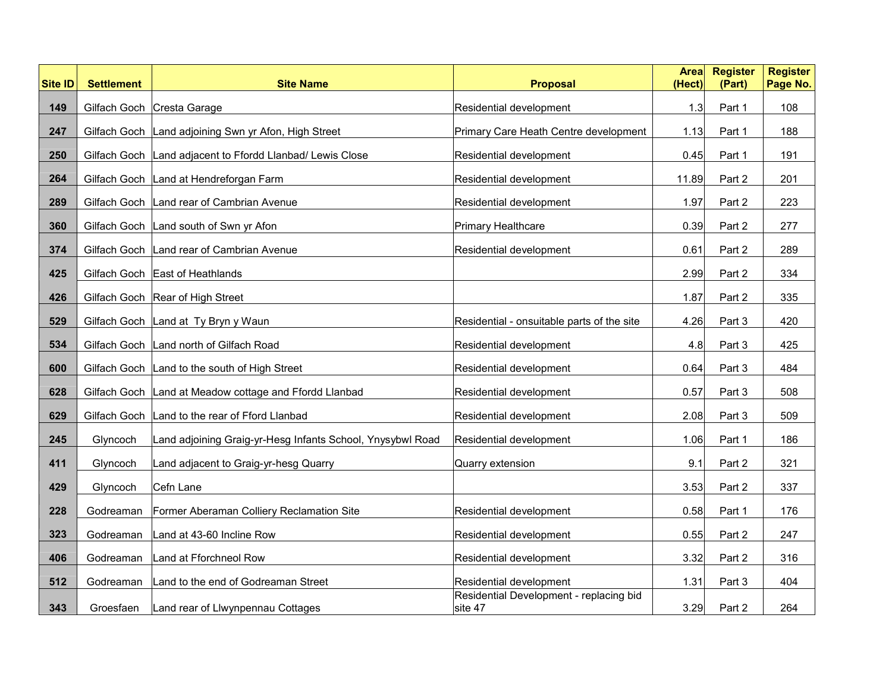| <b>Site ID</b> | <b>Settlement</b> | <b>Site Name</b>                                            | <b>Proposal</b>                                    | <b>Area</b><br>(Hect) | <b>Register</b><br>(Part) | <b>Register</b><br>Page No. |
|----------------|-------------------|-------------------------------------------------------------|----------------------------------------------------|-----------------------|---------------------------|-----------------------------|
| 149            |                   | Gilfach Goch Cresta Garage                                  | Residential development                            | 1.3 <sub>l</sub>      | Part 1                    | 108                         |
| 247            |                   | Gilfach Goch Land adjoining Swn yr Afon, High Street        | Primary Care Heath Centre development              | 1.13                  | Part 1                    | 188                         |
| 250            |                   | Gilfach Goch   Land adjacent to Ffordd Llanbad/ Lewis Close | Residential development                            | 0.45                  | Part 1                    | 191                         |
| 264            |                   | Gilfach Goch   Land at Hendreforgan Farm                    | Residential development                            | 11.89                 | Part 2                    | 201                         |
| 289            |                   | Gilfach Goch Land rear of Cambrian Avenue                   | Residential development                            | 1.97                  | Part 2                    | 223                         |
| 360            |                   | Gilfach Goch Land south of Swn yr Afon                      | Primary Healthcare                                 | 0.39                  | Part 2                    | 277                         |
| 374            |                   | Gilfach Goch Land rear of Cambrian Avenue                   | Residential development                            | 0.61                  | Part 2                    | 289                         |
| 425            |                   | Gilfach Goch East of Heathlands                             |                                                    | 2.99                  | Part 2                    | 334                         |
| 426            |                   | Gilfach Goch   Rear of High Street                          |                                                    | 1.87                  | Part 2                    | 335                         |
| 529            |                   | Gilfach Goch Land at Ty Bryn y Waun                         | Residential - onsuitable parts of the site         | 4.26                  | Part 3                    | 420                         |
| 534            |                   | Gilfach Goch   Land north of Gilfach Road                   | Residential development                            | 4.8                   | Part 3                    | 425                         |
| 600            |                   | Gilfach Goch   Land to the south of High Street             | Residential development                            | 0.64                  | Part 3                    | 484                         |
| 628            | Gilfach Goch      | Land at Meadow cottage and Ffordd Llanbad                   | Residential development                            | 0.57                  | Part 3                    | 508                         |
| 629            |                   | Gilfach Goch Land to the rear of Fford Llanbad              | Residential development                            | 2.08                  | Part 3                    | 509                         |
| 245            | Glyncoch          | Land adjoining Graig-yr-Hesg Infants School, Ynysybwl Road  | Residential development                            | 1.06                  | Part 1                    | 186                         |
| 411            | Glyncoch          | Land adjacent to Graig-yr-hesg Quarry                       | Quarry extension                                   | 9.1                   | Part 2                    | 321                         |
| 429            | Glyncoch          | Cefn Lane                                                   |                                                    | 3.53                  | Part 2                    | 337                         |
| 228            | Godreaman         | Former Aberaman Colliery Reclamation Site                   | Residential development                            | 0.58                  | Part 1                    | 176                         |
| 323            | Godreaman         | Land at 43-60 Incline Row                                   | Residential development                            | 0.55                  | Part 2                    | 247                         |
| 406            | Godreaman         | Land at Fforchneol Row                                      | Residential development                            | 3.32                  | Part 2                    | 316                         |
| 512            | Godreaman         | Land to the end of Godreaman Street                         | Residential development                            | 1.31                  | Part 3                    | 404                         |
| 343            | Groesfaen         | Land rear of Llwynpennau Cottages                           | Residential Development - replacing bid<br>site 47 | 3.29                  | Part 2                    | 264                         |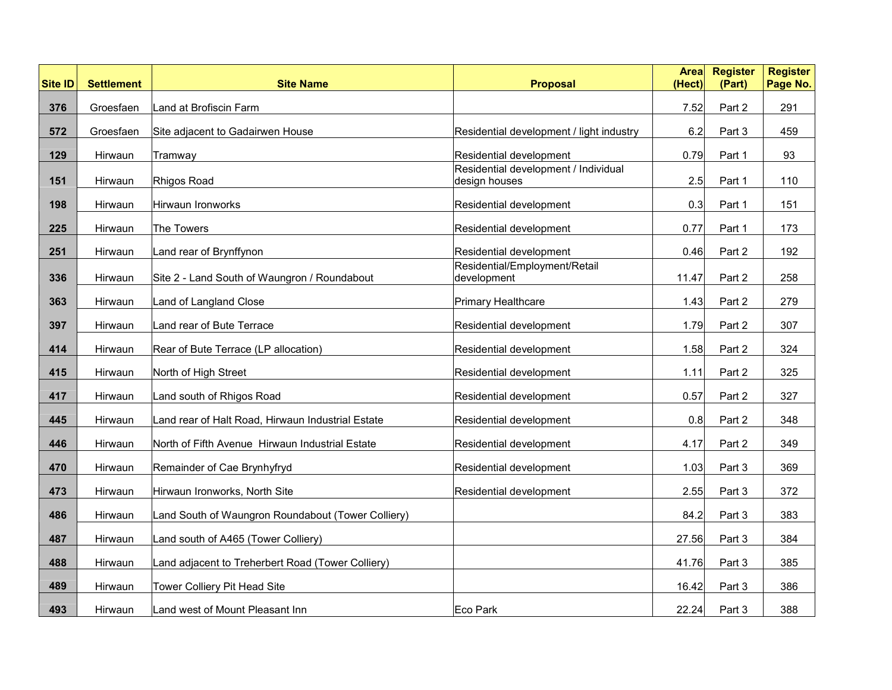| <b>Site ID</b> | <b>Settlement</b> | <b>Site Name</b>                                   | <b>Proposal</b>                                       | <b>Area</b><br>(Hect) | <b>Register</b><br>(Part) | <b>Register</b><br>Page No. |
|----------------|-------------------|----------------------------------------------------|-------------------------------------------------------|-----------------------|---------------------------|-----------------------------|
| 376            | Groesfaen         | Land at Brofiscin Farm                             |                                                       | 7.52                  | Part 2                    | 291                         |
| 572            | Groesfaen         | Site adjacent to Gadairwen House                   | Residential development / light industry              | 6.2                   | Part 3                    | 459                         |
| 129            | Hirwaun           | Tramway                                            | Residential development                               | 0.79                  | Part 1                    | 93                          |
| 151            | Hirwaun           | Rhigos Road                                        | Residential development / Individual<br>design houses | 2.5                   | Part 1                    | 110                         |
| 198            | Hirwaun           | Hirwaun Ironworks                                  | Residential development                               | 0.3                   | Part 1                    | 151                         |
| 225            | Hirwaun           | The Towers                                         | Residential development                               | 0.77                  | Part 1                    | 173                         |
| 251            | Hirwaun           | Land rear of Brynffynon                            | Residential development                               | 0.46                  | Part 2                    | 192                         |
| 336            | Hirwaun           | Site 2 - Land South of Waungron / Roundabout       | Residential/Employment/Retail<br>development          | 11.47                 | Part 2                    | 258                         |
| 363            | Hirwaun           | Land of Langland Close                             | Primary Healthcare                                    | 1.43                  | Part 2                    | 279                         |
| 397            | Hirwaun           | Land rear of Bute Terrace                          | Residential development                               | 1.79                  | Part 2                    | 307                         |
| 414            | Hirwaun           | Rear of Bute Terrace (LP allocation)               | Residential development                               | 1.58                  | Part 2                    | 324                         |
| 415            | Hirwaun           | North of High Street                               | Residential development                               | 1.11                  | Part 2                    | 325                         |
| 417            | Hirwaun           | Land south of Rhigos Road                          | Residential development                               | 0.57                  | Part 2                    | 327                         |
| 445            | Hirwaun           | Land rear of Halt Road, Hirwaun Industrial Estate  | Residential development                               | 0.8                   | Part 2                    | 348                         |
| 446            | Hirwaun           | North of Fifth Avenue Hirwaun Industrial Estate    | Residential development                               | 4.17                  | Part 2                    | 349                         |
| 470            | Hirwaun           | Remainder of Cae Brynhyfryd                        | Residential development                               | 1.03                  | Part 3                    | 369                         |
| 473            | Hirwaun           | Hirwaun Ironworks, North Site                      | Residential development                               | 2.55                  | Part 3                    | 372                         |
| 486            | Hirwaun           | Land South of Waungron Roundabout (Tower Colliery) |                                                       | 84.2                  | Part 3                    | 383                         |
| 487            | Hirwaun           | Land south of A465 (Tower Colliery)                |                                                       | 27.56                 | Part 3                    | 384                         |
| 488            | Hirwaun           | Land adjacent to Treherbert Road (Tower Colliery)  |                                                       | 41.76                 | Part 3                    | 385                         |
| 489            | Hirwaun           | Tower Colliery Pit Head Site                       |                                                       | 16.42                 | Part 3                    | 386                         |
| 493            | Hirwaun           | Land west of Mount Pleasant Inn                    | <b>Eco Park</b>                                       | 22.24                 | Part 3                    | 388                         |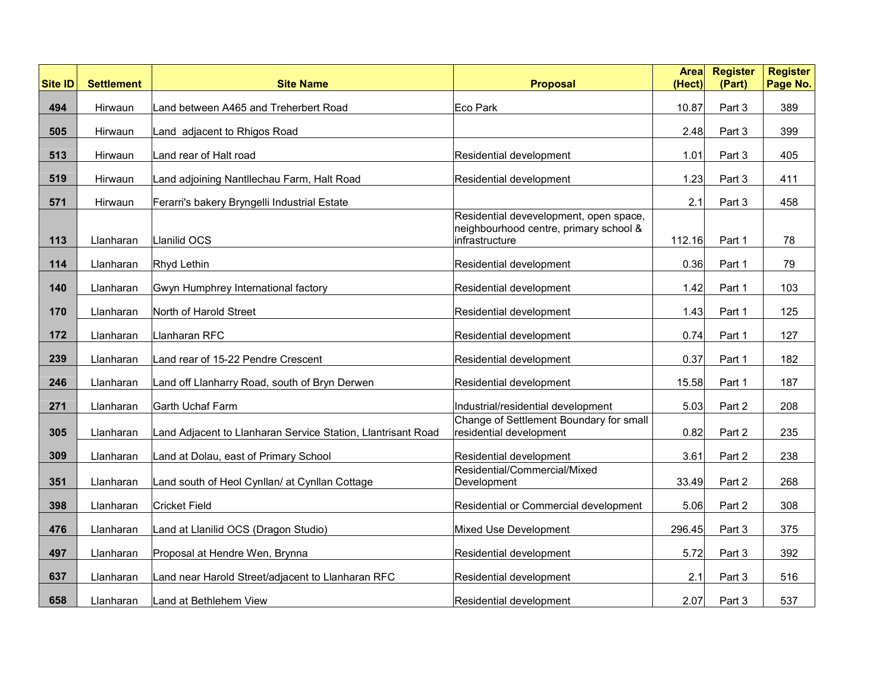| <b>Site ID</b> | <b>Settlement</b> | <b>Site Name</b>                                             | <b>Proposal</b>                                                                                    | <b>Area</b><br>(Hect) | <b>Register</b><br>(Part) | <b>Register</b><br>Page No. |
|----------------|-------------------|--------------------------------------------------------------|----------------------------------------------------------------------------------------------------|-----------------------|---------------------------|-----------------------------|
| 494            | Hirwaun           | Land between A465 and Treherbert Road                        | Eco Park                                                                                           | 10.87                 | Part 3                    | 389                         |
| 505            | Hirwaun           | Land adjacent to Rhigos Road                                 |                                                                                                    | 2.48                  | Part 3                    | 399                         |
| 513            | Hirwaun           | Land rear of Halt road                                       | Residential development                                                                            | 1.01                  | Part 3                    | 405                         |
| 519            | Hirwaun           | Land adjoining Nantllechau Farm, Halt Road                   | Residential development                                                                            | 1.23                  | Part 3                    | 411                         |
| 571            | Hirwaun           | Ferarri's bakery Bryngelli Industrial Estate                 |                                                                                                    | 2.1                   | Part 3                    | 458                         |
| 113            | Llanharan         | Llanilid OCS                                                 | Residential devevelopment, open space,<br>neighbourhood centre, primary school &<br>infrastructure | 112.16                | Part 1                    | 78                          |
| 114            | Llanharan         | Rhyd Lethin                                                  | Residential development                                                                            | 0.36                  | Part 1                    | 79                          |
| 140            | Llanharan         | Gwyn Humphrey International factory                          | Residential development                                                                            | 1.42                  | Part 1                    | 103                         |
| 170            | Llanharan         | North of Harold Street                                       | Residential development                                                                            | 1.43                  | Part 1                    | 125                         |
| 172            | Llanharan         | Llanharan RFC                                                | Residential development                                                                            | 0.74                  | Part 1                    | 127                         |
| 239            | Llanharan         | Land rear of 15-22 Pendre Crescent                           | Residential development                                                                            | 0.37                  | Part 1                    | 182                         |
| 246            | Llanharan         | Land off Llanharry Road, south of Bryn Derwen                | Residential development                                                                            | 15.58                 | Part 1                    | 187                         |
| 271            | Llanharan         | Garth Uchaf Farm                                             | Industrial/residential development                                                                 | 5.03                  | Part 2                    | 208                         |
| 305            | Llanharan         | Land Adjacent to Llanharan Service Station, Llantrisant Road | Change of Settlement Boundary for small<br>residential development                                 | 0.82                  | Part 2                    | 235                         |
| 309            | Llanharan         | Land at Dolau, east of Primary School                        | Residential development                                                                            | 3.61                  | Part 2                    | 238                         |
| 351            | Llanharan         | Land south of Heol Cynllan/ at Cynllan Cottage               | Residential/Commercial/Mixed<br>Development                                                        | 33.49                 | Part 2                    | 268                         |
| 398            | Llanharan         | <b>Cricket Field</b>                                         | Residential or Commercial development                                                              | 5.06                  | Part 2                    | 308                         |
| 476            | Llanharan         | Land at Llanilid OCS (Dragon Studio)                         | Mixed Use Development                                                                              | 296.45                | Part 3                    | 375                         |
| 497            | Llanharan         | Proposal at Hendre Wen, Brynna                               | Residential development                                                                            | 5.72                  | Part 3                    | 392                         |
| 637            |                   |                                                              |                                                                                                    |                       |                           |                             |
|                | Llanharan         | Land near Harold Street/adjacent to Llanharan RFC            | Residential development                                                                            | 2.1                   | Part 3                    | 516                         |
| 658            | Llanharan         | Land at Bethlehem View                                       | Residential development                                                                            | 2.07                  | Part 3                    | 537                         |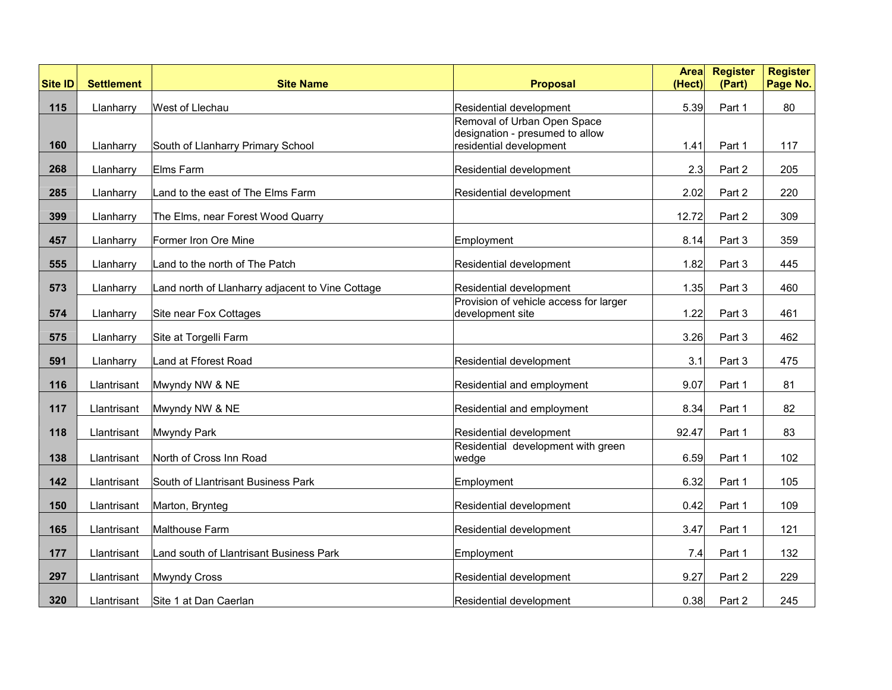| <b>Site ID</b> | <b>Settlement</b> | <b>Site Name</b>                                 | <b>Proposal</b>                                                                           | <b>Area</b><br>(Hect) | <b>Register</b><br>(Part) | <b>Register</b><br>Page No. |
|----------------|-------------------|--------------------------------------------------|-------------------------------------------------------------------------------------------|-----------------------|---------------------------|-----------------------------|
| 115            | Llanharry         | West of Llechau                                  | Residential development                                                                   | 5.39                  | Part 1                    | 80                          |
| 160            | Llanharry         | South of Llanharry Primary School                | Removal of Urban Open Space<br>designation - presumed to allow<br>residential development | 1.41                  | Part 1                    | 117                         |
| 268            | Llanharry         | Elms Farm                                        | Residential development                                                                   | 2.3                   | Part 2                    | 205                         |
| 285            | Llanharry         | Land to the east of The Elms Farm                | Residential development                                                                   | 2.02                  | Part 2                    | 220                         |
| 399            | Llanharry         | The Elms, near Forest Wood Quarry                |                                                                                           | 12.72                 | Part 2                    | 309                         |
| 457            | Llanharry         | Former Iron Ore Mine                             | Employment                                                                                | 8.14                  | Part 3                    | 359                         |
| 555            | Llanharry         | Land to the north of The Patch                   | Residential development                                                                   | 1.82                  | Part 3                    | 445                         |
| 573            | Llanharry         | Land north of Llanharry adjacent to Vine Cottage | Residential development                                                                   | 1.35                  | Part 3                    | 460                         |
| 574            | Llanharry         | Site near Fox Cottages                           | Provision of vehicle access for larger<br>development site                                | 1.22                  | Part 3                    | 461                         |
| 575            | Llanharry         | Site at Torgelli Farm                            |                                                                                           | 3.26                  | Part 3                    | 462                         |
| 591            | Llanharry         | Land at Fforest Road                             | Residential development                                                                   | 3.1                   | Part 3                    | 475                         |
| 116            | Llantrisant       | Mwyndy NW & NE                                   | Residential and employment                                                                | 9.07                  | Part 1                    | 81                          |
| 117            | Llantrisant       | Mwyndy NW & NE                                   | Residential and employment                                                                | 8.34                  | Part 1                    | 82                          |
| 118            | Llantrisant       | Mwyndy Park                                      | Residential development                                                                   | 92.47                 | Part 1                    | 83                          |
| 138            | Llantrisant       | North of Cross Inn Road                          | Residential development with green<br>wedge                                               | 6.59                  | Part 1                    | 102                         |
| 142            | Llantrisant       | South of Llantrisant Business Park               | Employment                                                                                | 6.32                  | Part 1                    | 105                         |
| 150            | Llantrisant       | Marton, Brynteg                                  | Residential development                                                                   | 0.42                  | Part 1                    | 109                         |
| 165            | Llantrisant       | Malthouse Farm                                   | Residential development                                                                   | 3.47                  | Part 1                    | 121                         |
| 177            | Llantrisant       | Land south of Llantrisant Business Park          | Employment                                                                                | 7.4                   | Part 1                    | 132                         |
| 297            | Llantrisant       | Mwyndy Cross                                     | Residential development                                                                   | 9.27                  | Part 2                    | 229                         |
| 320            | Llantrisant       | Site 1 at Dan Caerlan                            | Residential development                                                                   | 0.38                  | Part 2                    | 245                         |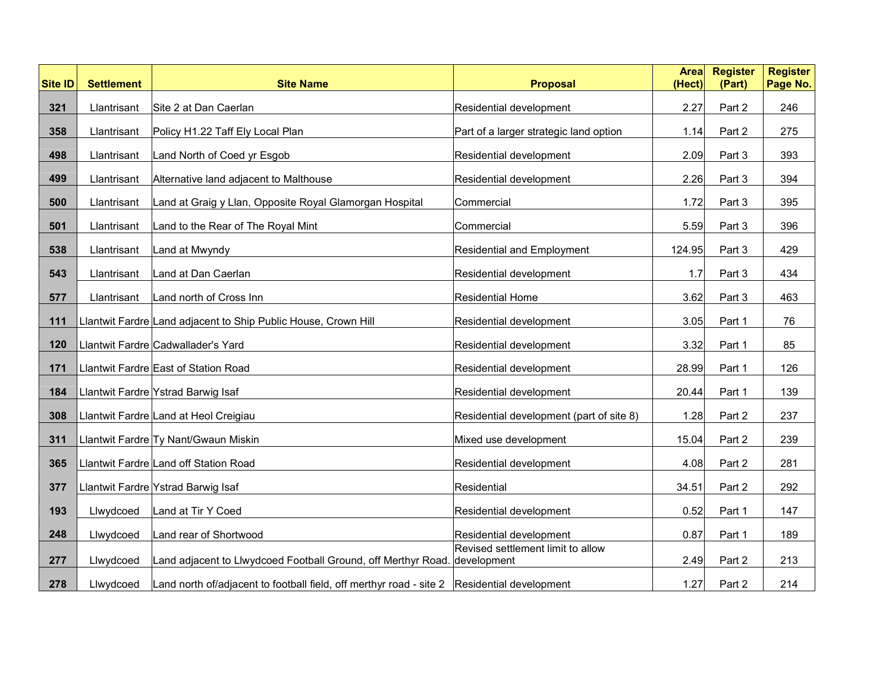| <b>Site ID</b> | <b>Settlement</b> | <b>Site Name</b>                                                                                           | <b>Proposal</b>                          | <b>Area</b><br>(Hect) | <b>Register</b><br>(Part) | <b>Register</b><br>Page No. |
|----------------|-------------------|------------------------------------------------------------------------------------------------------------|------------------------------------------|-----------------------|---------------------------|-----------------------------|
| 321            | Llantrisant       | Site 2 at Dan Caerlan                                                                                      | Residential development                  | 2.27                  | Part 2                    | 246                         |
| 358            | Llantrisant       | Policy H1.22 Taff Ely Local Plan                                                                           | Part of a larger strategic land option   | 1.14                  | Part 2                    | 275                         |
| 498            | Llantrisant       | Land North of Coed yr Esgob                                                                                | Residential development                  | 2.09                  | Part 3                    | 393                         |
| 499            | Llantrisant       | Alternative land adjacent to Malthouse                                                                     | Residential development                  | 2.26                  | Part 3                    | 394                         |
|                |                   |                                                                                                            |                                          |                       |                           |                             |
| 500            | Llantrisant       | Land at Graig y Llan, Opposite Royal Glamorgan Hospital                                                    | Commercial                               | 1.72                  | Part 3                    | 395                         |
| 501            | Llantrisant       | Land to the Rear of The Royal Mint                                                                         | Commercial                               | 5.59                  | Part 3                    | 396                         |
| 538            | Llantrisant       | Land at Mwyndy                                                                                             | <b>Residential and Employment</b>        | 124.95                | Part 3                    | 429                         |
| 543            | Llantrisant       | Land at Dan Caerlan                                                                                        | Residential development                  | 1.7                   | Part 3                    | 434                         |
| 577            | Llantrisant       | Land north of Cross Inn                                                                                    | <b>Residential Home</b>                  | 3.62                  | Part 3                    | 463                         |
| 111            |                   | Llantwit Fardre Land adjacent to Ship Public House, Crown Hill                                             | Residential development                  | 3.05                  | Part 1                    | 76                          |
| 120            |                   | Llantwit Fardre Cadwallader's Yard                                                                         | Residential development                  | 3.32                  | Part 1                    | 85                          |
| 171            |                   | Llantwit Fardre East of Station Road                                                                       | Residential development                  | 28.99                 | Part 1                    | 126                         |
| 184            |                   | Llantwit Fardre Ystrad Barwig Isaf                                                                         | Residential development                  | 20.44                 | Part 1                    | 139                         |
| 308            |                   | Llantwit Fardre Land at Heol Creigiau                                                                      | Residential development (part of site 8) | 1.28                  | Part 2                    | 237                         |
| 311            |                   | Llantwit Fardre Ty Nant/Gwaun Miskin                                                                       | Mixed use development                    | 15.04                 | Part 2                    | 239                         |
| 365            |                   | Llantwit Fardre Land off Station Road                                                                      | Residential development                  | 4.08                  | Part 2                    | 281                         |
| 377            |                   | Llantwit Fardre Ystrad Barwig Isaf                                                                         | Residential                              | 34.51                 | Part 2                    | 292                         |
| 193            | Llwydcoed         | Land at Tir Y Coed                                                                                         | Residential development                  | 0.52                  | Part 1                    | 147                         |
| 248            | Llwydcoed         | Land rear of Shortwood                                                                                     | Residential development                  | 0.87                  | Part 1                    | 189                         |
| 277            | Llwydcoed         | Land adjacent to Llwydcoed Football Ground, off Merthyr Road. development                                  | Revised settlement limit to allow        | 2.49                  | Part 2                    | 213                         |
|                |                   |                                                                                                            |                                          |                       |                           |                             |
| 278            | Llwydcoed         | Land north of/adjacent to football field, off merthyr road - site $2 \quad \text{Residential development}$ |                                          | 1.27                  | Part 2                    | 214                         |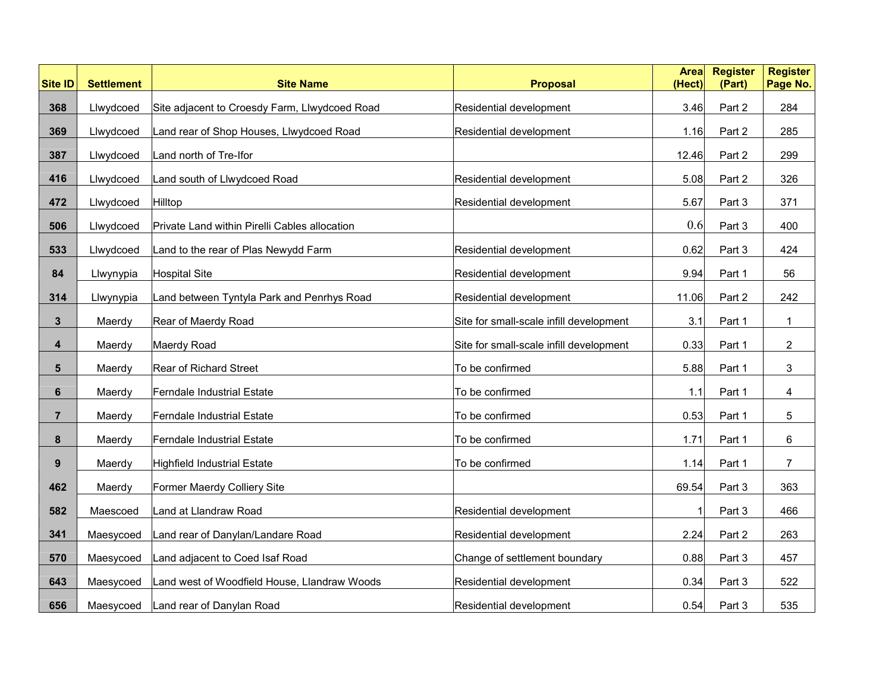| <b>Site ID</b> | <b>Settlement</b> | <b>Site Name</b>                              | <b>Proposal</b>                         | <b>Area</b><br>(Hect) | <b>Register</b><br>(Part) | <b>Register</b><br>Page No. |
|----------------|-------------------|-----------------------------------------------|-----------------------------------------|-----------------------|---------------------------|-----------------------------|
| 368            | Llwydcoed         | Site adjacent to Croesdy Farm, Llwydcoed Road | Residential development                 | 3.46                  | Part 2                    | 284                         |
| 369            | Llwydcoed         | Land rear of Shop Houses, Llwydcoed Road      | Residential development                 | 1.16                  | Part 2                    | 285                         |
| 387            | Llwydcoed         | Land north of Tre-Ifor                        |                                         | 12.46                 | Part 2                    | 299                         |
| 416            | Llwydcoed         | Land south of Llwydcoed Road                  | Residential development                 | 5.08                  | Part 2                    | 326                         |
| 472            | Llwydcoed         | Hilltop                                       | Residential development                 | 5.67                  | Part 3                    | 371                         |
| 506            | Llwydcoed         | Private Land within Pirelli Cables allocation |                                         | 0.6                   | Part 3                    | 400                         |
| 533            | Llwydcoed         | Land to the rear of Plas Newydd Farm          | Residential development                 | 0.62                  | Part 3                    | 424                         |
| 84             | Llwynypia         | <b>Hospital Site</b>                          | Residential development                 | 9.94                  | Part 1                    | 56                          |
| 314            | Llwynypia         | Land between Tyntyla Park and Penrhys Road    | Residential development                 | 11.06                 | Part 2                    | 242                         |
| $\mathbf{3}$   | Maerdy            | Rear of Maerdy Road                           | Site for small-scale infill development | 3.1                   | Part 1                    | $\mathbf{1}$                |
| 4              | Maerdy            | Maerdy Road                                   | Site for small-scale infill development | 0.33                  | Part 1                    | $\overline{2}$              |
| 5              | Maerdy            | Rear of Richard Street                        | To be confirmed                         | 5.88                  | Part 1                    | 3                           |
| 6              | Maerdy            | Ferndale Industrial Estate                    | To be confirmed                         | 1.1                   | Part 1                    | 4                           |
| $\overline{7}$ | Maerdy            | Ferndale Industrial Estate                    | To be confirmed                         | 0.53                  | Part 1                    | 5                           |
| 8              | Maerdy            | <b>Ferndale Industrial Estate</b>             | To be confirmed                         | 1.71                  | Part 1                    | 6                           |
| 9              | Maerdy            | Highfield Industrial Estate                   | To be confirmed                         | 1.14                  | Part 1                    | $\overline{7}$              |
| 462            | Maerdy            | Former Maerdy Colliery Site                   |                                         | 69.54                 | Part 3                    | 363                         |
| 582            | Maescoed          | Land at Llandraw Road                         | Residential development                 |                       | Part 3                    | 466                         |
| 341            | Maesycoed         | Land rear of Danylan/Landare Road             | Residential development                 | 2.24                  | Part 2                    | 263                         |
| 570            | Maesycoed         | Land adjacent to Coed Isaf Road               | Change of settlement boundary           | 0.88                  | Part 3                    | 457                         |
| 643            | Maesycoed         | Land west of Woodfield House, Llandraw Woods  | Residential development                 | 0.34                  | Part 3                    | 522                         |
| 656            | Maesycoed         | Land rear of Danylan Road                     | Residential development                 | 0.54                  | Part 3                    | 535                         |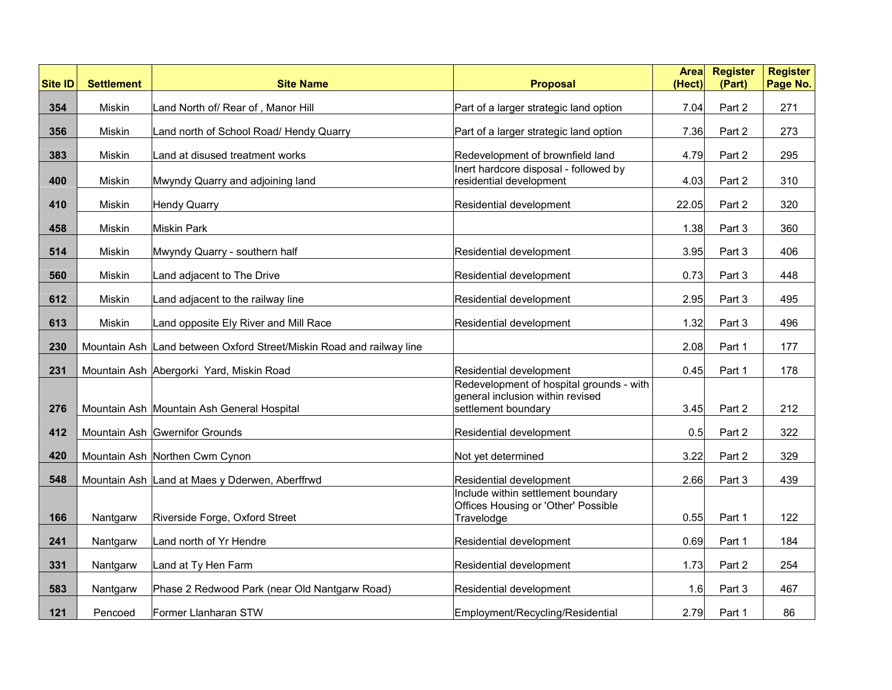| <b>Site ID</b> | <b>Settlement</b> | <b>Site Name</b>                                                     | <b>Proposal</b>                                                                         | Areal<br>(Hect) | <b>Register</b><br>(Part) | <b>Register</b><br>Page No. |
|----------------|-------------------|----------------------------------------------------------------------|-----------------------------------------------------------------------------------------|-----------------|---------------------------|-----------------------------|
| 354            | Miskin            | Land North of/ Rear of, Manor Hill                                   | Part of a larger strategic land option                                                  | 7.04            | Part 2                    | 271                         |
| 356            | Miskin            | Land north of School Road/ Hendy Quarry                              | Part of a larger strategic land option                                                  | 7.36            | Part 2                    | 273                         |
| 383            | Miskin            | Land at disused treatment works                                      | Redevelopment of brownfield land                                                        | 4.79            | Part 2                    | 295                         |
| 400            | Miskin            | Mwyndy Quarry and adjoining land                                     | Inert hardcore disposal - followed by<br>residential development                        | 4.03            | Part 2                    | 310                         |
| 410            | Miskin            | <b>Hendy Quarry</b>                                                  | Residential development                                                                 | 22.05           | Part 2                    | 320                         |
| 458            | Miskin            | <b>Miskin Park</b>                                                   |                                                                                         | 1.38            | Part 3                    | 360                         |
| 514            | Miskin            | Mwyndy Quarry - southern half                                        | Residential development                                                                 | 3.95            | Part 3                    | 406                         |
| 560            | Miskin            | Land adjacent to The Drive                                           | Residential development                                                                 | 0.73            | Part 3                    | 448                         |
| 612            | Miskin            | Land adjacent to the railway line                                    | Residential development                                                                 | 2.95            | Part 3                    | 495                         |
| 613            | Miskin            | Land opposite Ely River and Mill Race                                | Residential development                                                                 | 1.32            | Part 3                    | 496                         |
| 230            |                   | Mountain Ash Land between Oxford Street/Miskin Road and railway line |                                                                                         | 2.08            | Part 1                    | 177                         |
| 231            |                   | Mountain Ash Abergorki Yard, Miskin Road                             | Residential development                                                                 | 0.45            | Part 1                    | 178                         |
|                |                   |                                                                      | Redevelopment of hospital grounds - with<br>general inclusion within revised            |                 |                           |                             |
| 276            |                   | Mountain Ash Mountain Ash General Hospital                           | settlement boundary                                                                     | 3.45            | Part 2                    | 212                         |
| 412            |                   | Mountain Ash Gwernifor Grounds                                       | Residential development                                                                 | 0.5             | Part 2                    | 322                         |
| 420            |                   | Mountain Ash Northen Cwm Cynon                                       | Not yet determined                                                                      | 3.22            | Part 2                    | 329                         |
| 548            |                   | Mountain Ash Land at Maes y Dderwen, Aberffrwd                       | Residential development                                                                 | 2.66            | Part 3                    | 439                         |
| 166            | Nantgarw          | Riverside Forge, Oxford Street                                       | Include within settlement boundary<br>Offices Housing or 'Other' Possible<br>Travelodge | 0.55            | Part 1                    | 122                         |
| 241            | Nantgarw          | Land north of Yr Hendre                                              | Residential development                                                                 | 0.69            | Part 1                    | 184                         |
| 331            | Nantgarw          | Land at Ty Hen Farm                                                  | Residential development                                                                 | 1.73            | Part 2                    | 254                         |
| 583            | Nantgarw          | Phase 2 Redwood Park (near Old Nantgarw Road)                        | Residential development                                                                 | 1.6             | Part 3                    | 467                         |
| 121            | Pencoed           | Former Llanharan STW                                                 | Employment/Recycling/Residential                                                        | 2.79            | Part 1                    | 86                          |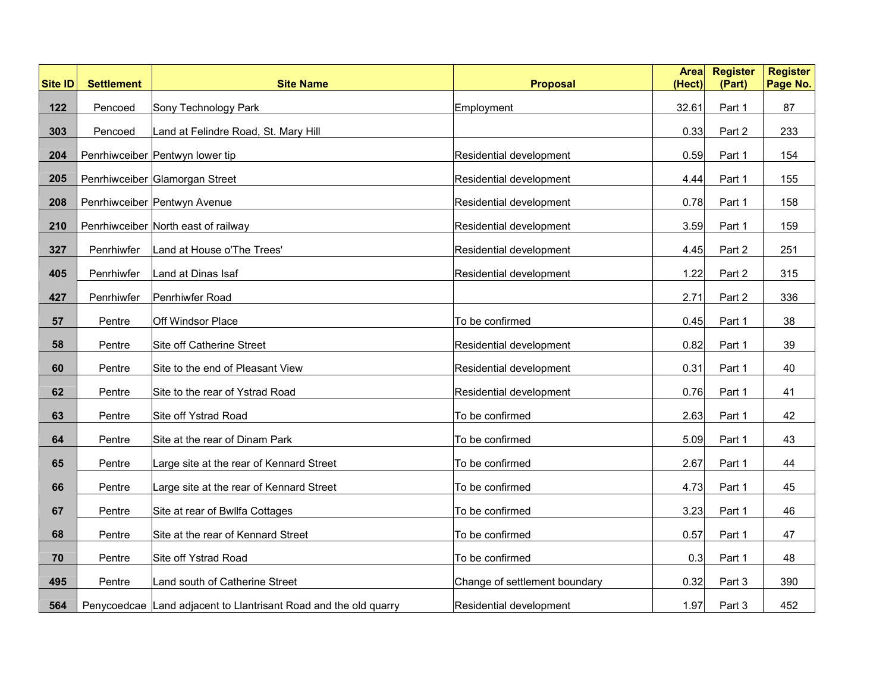| <b>Site ID</b> | <b>Settlement</b> | <b>Site Name</b>                                                 | <b>Proposal</b>               | <b>Area</b><br>(Hect) | <b>Register</b><br>(Part) | <b>Register</b><br>Page No. |
|----------------|-------------------|------------------------------------------------------------------|-------------------------------|-----------------------|---------------------------|-----------------------------|
| 122            | Pencoed           | Sony Technology Park                                             | Employment                    | 32.61                 | Part 1                    | 87                          |
| 303            | Pencoed           | Land at Felindre Road, St. Mary Hill                             |                               | 0.33                  | Part 2                    | 233                         |
| 204            |                   | Penrhiwceiber Pentwyn lower tip                                  | Residential development       | 0.59                  | Part 1                    | 154                         |
| 205            |                   | Penrhiwceiber Glamorgan Street                                   | Residential development       | 4.44                  | Part 1                    | 155                         |
| 208            |                   | Penrhiwceiber Pentwyn Avenue                                     | Residential development       | 0.78                  | Part 1                    | 158                         |
| 210            |                   | Penrhiwceiber North east of railway                              | Residential development       | 3.59                  | Part 1                    | 159                         |
| 327            | Penrhiwfer        | Land at House o'The Trees'                                       | Residential development       | 4.45                  | Part 2                    | 251                         |
| 405            | Penrhiwfer        | Land at Dinas Isaf                                               | Residential development       | 1.22                  | Part 2                    | 315                         |
| 427            | Penrhiwfer        | Penrhiwfer Road                                                  |                               | 2.71                  | Part 2                    | 336                         |
| 57             | Pentre            | Off Windsor Place                                                | To be confirmed               | 0.45                  | Part 1                    | 38                          |
| 58             | Pentre            | Site off Catherine Street                                        | Residential development       | 0.82                  | Part 1                    | 39                          |
| 60             | Pentre            | Site to the end of Pleasant View                                 | Residential development       | 0.31                  | Part 1                    | 40                          |
| 62             | Pentre            | Site to the rear of Ystrad Road                                  | Residential development       | 0.76                  | Part 1                    | 41                          |
| 63             | Pentre            | Site off Ystrad Road                                             | To be confirmed               | 2.63                  | Part 1                    | 42                          |
| 64             | Pentre            | Site at the rear of Dinam Park                                   | To be confirmed               | 5.09                  | Part 1                    | 43                          |
|                |                   |                                                                  |                               |                       |                           |                             |
| 65             | Pentre            | Large site at the rear of Kennard Street                         | To be confirmed               | 2.67                  | Part 1                    | 44                          |
| 66             | Pentre            | Large site at the rear of Kennard Street                         | To be confirmed               | 4.73                  | Part 1                    | 45                          |
| 67             | Pentre            | Site at rear of Bwllfa Cottages                                  | To be confirmed               | 3.23                  | Part 1                    | 46                          |
| 68             | Pentre            | Site at the rear of Kennard Street                               | To be confirmed               | 0.57                  | Part 1                    | 47                          |
| 70             | Pentre            | Site off Ystrad Road                                             | To be confirmed               | 0.3                   | Part 1                    | 48                          |
| 495            | Pentre            | Land south of Catherine Street                                   | Change of settlement boundary | 0.32                  | Part 3                    | 390                         |
| 564            |                   | Penycoedcae Land adjacent to Liantrisant Road and the old quarry | Residential development       | 1.97                  | Part 3                    | 452                         |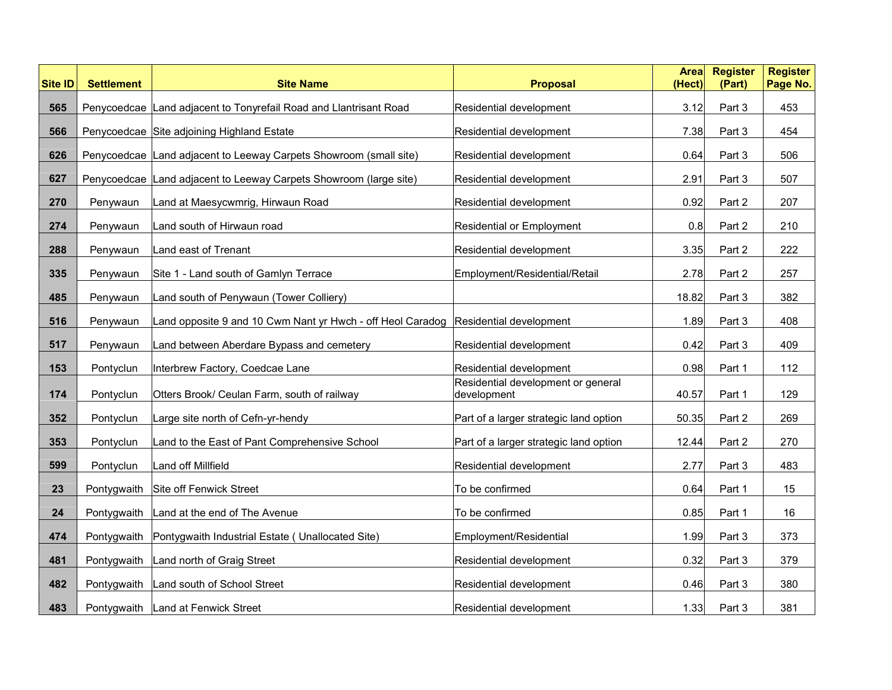| <b>Site ID</b> | <b>Settlement</b> | <b>Site Name</b>                                                                   | <b>Proposal</b>                                   | <b>Area</b><br>(Hect) | <b>Register</b><br>(Part) | <b>Register</b><br>Page No. |
|----------------|-------------------|------------------------------------------------------------------------------------|---------------------------------------------------|-----------------------|---------------------------|-----------------------------|
| 565            |                   | Penycoedcae Land adjacent to Tonyrefail Road and Llantrisant Road                  | Residential development                           | 3.12                  | Part 3                    | 453                         |
| 566            |                   | Penycoedcae Site adjoining Highland Estate                                         | Residential development                           | 7.38                  | Part 3                    | 454                         |
| 626            |                   | Penycoedcae Land adjacent to Leeway Carpets Showroom (small site)                  | Residential development                           | 0.64                  | Part 3                    | 506                         |
| 627            |                   | Penycoedcae   Land adjacent to Leeway Carpets Showroom (large site)                | Residential development                           | 2.91                  | Part 3                    | 507                         |
| 270            | Penywaun          | Land at Maesycwmrig, Hirwaun Road                                                  | Residential development                           | 0.92                  | Part 2                    | 207                         |
| 274            | Penywaun          | Land south of Hirwaun road                                                         | <b>Residential or Employment</b>                  | 0.8                   | Part 2                    | 210                         |
| 288            | Penywaun          | Land east of Trenant                                                               | Residential development                           | 3.35                  | Part 2                    | 222                         |
| 335            | Penywaun          | Site 1 - Land south of Gamlyn Terrace                                              | Employment/Residential/Retail                     | 2.78                  | Part 2                    | 257                         |
| 485            | Penywaun          | Land south of Penywaun (Tower Colliery)                                            |                                                   | 18.82                 | Part 3                    | 382                         |
| 516            | Penywaun          | Land opposite 9 and 10 Cwm Nant yr Hwch - off Heol Caradog Residential development |                                                   | 1.89                  | Part 3                    | 408                         |
| 517            | Penywaun          | Land between Aberdare Bypass and cemetery                                          | Residential development                           | 0.42                  | Part 3                    | 409                         |
| 153            | Pontyclun         | Interbrew Factory, Coedcae Lane                                                    | Residential development                           | 0.98                  | Part 1                    | 112                         |
| 174            | Pontyclun         | Otters Brook/ Ceulan Farm, south of railway                                        | Residential development or general<br>development | 40.57                 | Part 1                    | 129                         |
| 352            | Pontyclun         | Large site north of Cefn-yr-hendy                                                  | Part of a larger strategic land option            | 50.35                 | Part 2                    | 269                         |
| 353            | Pontyclun         | Land to the East of Pant Comprehensive School                                      | Part of a larger strategic land option            | 12.44                 | Part 2                    | 270                         |
| 599            | Pontyclun         | Land off Millfield                                                                 | Residential development                           | 2.77                  | Part 3                    | 483                         |
| 23             | Pontygwaith       | Site off Fenwick Street                                                            | To be confirmed                                   | 0.64                  | Part 1                    | 15                          |
| 24             | Pontygwaith       | Land at the end of The Avenue                                                      | To be confirmed                                   | 0.85                  | Part 1                    | 16                          |
| 474            | Pontygwaith       | Pontygwaith Industrial Estate ( Unallocated Site)                                  | Employment/Residential                            | 1.99                  | Part 3                    | 373                         |
| 481            | Pontygwaith       | Land north of Graig Street                                                         | Residential development                           | 0.32                  | Part 3                    | 379                         |
| 482            | Pontygwaith       | Land south of School Street                                                        | Residential development                           | 0.46                  | Part 3                    | 380                         |
| 483            | Pontygwaith       | Land at Fenwick Street                                                             | Residential development                           | 1.33                  | Part 3                    | 381                         |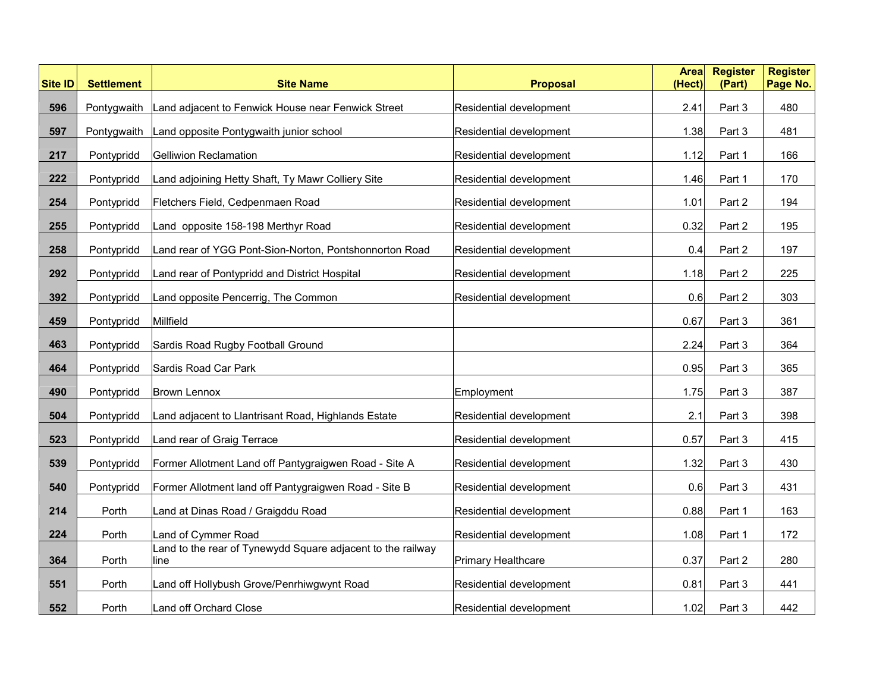| <b>Site ID</b> | <b>Settlement</b> | <b>Site Name</b>                                                    | <b>Proposal</b>         | <b>Area</b><br>(Hect) | <b>Register</b><br>(Part) | <b>Register</b><br>Page No. |
|----------------|-------------------|---------------------------------------------------------------------|-------------------------|-----------------------|---------------------------|-----------------------------|
| 596            | Pontygwaith       | Land adjacent to Fenwick House near Fenwick Street                  | Residential development | 2.41                  | Part 3                    | 480                         |
| 597            | Pontygwaith       | Land opposite Pontygwaith junior school                             | Residential development | 1.38                  | Part 3                    | 481                         |
| 217            | Pontypridd        | Gelliwion Reclamation                                               | Residential development | 1.12                  | Part 1                    | 166                         |
| 222            | Pontypridd        | Land adjoining Hetty Shaft, Ty Mawr Colliery Site                   | Residential development | 1.46                  | Part 1                    | 170                         |
| 254            | Pontypridd        | Fletchers Field, Cedpenmaen Road                                    | Residential development | 1.01                  | Part 2                    | 194                         |
| 255            | Pontypridd        | Land opposite 158-198 Merthyr Road                                  | Residential development | 0.32                  | Part 2                    | 195                         |
| 258            | Pontypridd        | Land rear of YGG Pont-Sion-Norton, Pontshonnorton Road              | Residential development | 0.4                   | Part 2                    | 197                         |
| 292            | Pontypridd        | Land rear of Pontypridd and District Hospital                       | Residential development | 1.18                  | Part 2                    | 225                         |
| 392            | Pontypridd        | Land opposite Pencerrig, The Common                                 | Residential development | 0.6                   | Part 2                    | 303                         |
| 459            | Pontypridd        | Millfield                                                           |                         | 0.67                  | Part 3                    | 361                         |
| 463            | Pontypridd        | Sardis Road Rugby Football Ground                                   |                         | 2.24                  | Part 3                    | 364                         |
| 464            | Pontypridd        | Sardis Road Car Park                                                |                         | 0.95                  | Part 3                    | 365                         |
| 490            | Pontypridd        | Brown Lennox                                                        | Employment              | 1.75                  | Part 3                    | 387                         |
| 504            | Pontypridd        | Land adjacent to Llantrisant Road, Highlands Estate                 | Residential development | 2.1                   | Part 3                    | 398                         |
| 523            | Pontypridd        | Land rear of Graig Terrace                                          | Residential development | 0.57                  | Part 3                    | 415                         |
| 539            | Pontypridd        | Former Allotment Land off Pantygraigwen Road - Site A               | Residential development | 1.32                  | Part 3                    | 430                         |
| 540            | Pontypridd        | Former Allotment land off Pantygraigwen Road - Site B               | Residential development | 0.6                   | Part 3                    | 431                         |
| 214            | Porth             | Land at Dinas Road / Graigddu Road                                  | Residential development | 0.88                  | Part 1                    | 163                         |
| 224            | Porth             | Land of Cymmer Road                                                 | Residential development | 1.08                  | Part 1                    | 172                         |
| 364            | Porth             | Land to the rear of Tynewydd Square adjacent to the railway<br>line | Primary Healthcare      | 0.37                  | Part 2                    | 280                         |
| 551            | Porth             | Land off Hollybush Grove/Penrhiwgwynt Road                          | Residential development | 0.81                  | Part 3                    | 441                         |
| 552            | Porth             | Land off Orchard Close                                              | Residential development | 1.02                  | Part 3                    | 442                         |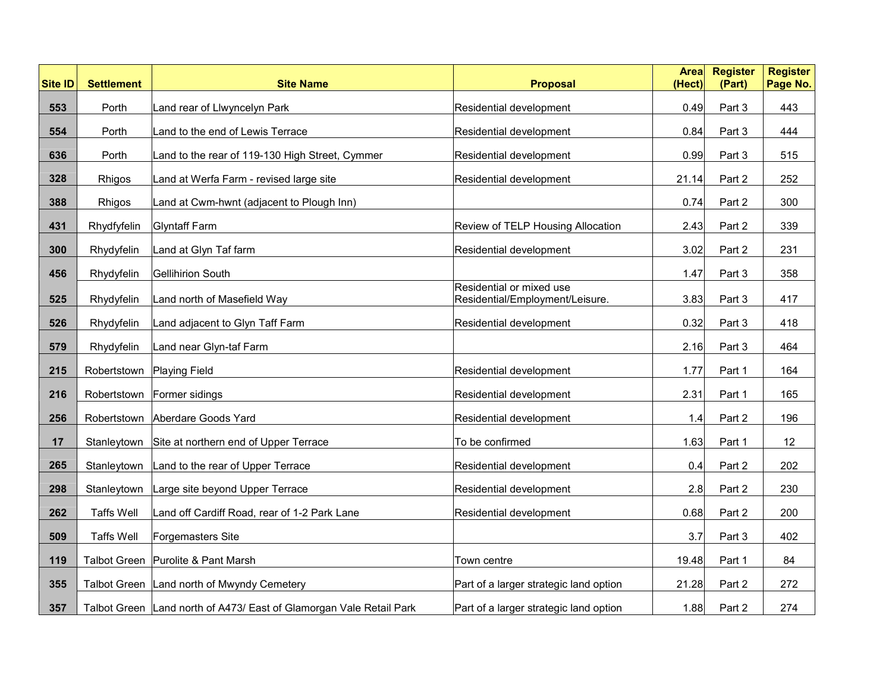| <b>Site ID</b> | <b>Settlement</b> | <b>Site Name</b>                                                    | <b>Proposal</b>                                             | <b>Area</b><br>(Hect) | <b>Register</b><br>(Part) | <b>Register</b><br>Page No. |
|----------------|-------------------|---------------------------------------------------------------------|-------------------------------------------------------------|-----------------------|---------------------------|-----------------------------|
| 553            | Porth             | Land rear of Llwyncelyn Park                                        | Residential development                                     | 0.49                  | Part 3                    | 443                         |
| 554            | Porth             | Land to the end of Lewis Terrace                                    | Residential development                                     | 0.84                  | Part 3                    | 444                         |
| 636            | Porth             | Land to the rear of 119-130 High Street, Cymmer                     | Residential development                                     | 0.99                  | Part 3                    | 515                         |
| 328            | Rhigos            | Land at Werfa Farm - revised large site                             | Residential development                                     | 21.14                 | Part 2                    | 252                         |
| 388            | Rhigos            | Land at Cwm-hwnt (adjacent to Plough Inn)                           |                                                             | 0.74                  | Part 2                    | 300                         |
| 431            | Rhydfyfelin       | <b>Glyntaff Farm</b>                                                | Review of TELP Housing Allocation                           | 2.43                  | Part 2                    | 339                         |
| 300            | Rhydyfelin        | Land at Glyn Taf farm                                               | Residential development                                     | 3.02                  | Part 2                    | 231                         |
| 456            | Rhydyfelin        | Gellihirion South                                                   |                                                             | 1.47                  | Part 3                    | 358                         |
| 525            | Rhydyfelin        | Land north of Masefield Way                                         | Residential or mixed use<br>Residential/Employment/Leisure. | 3.83                  | Part 3                    | 417                         |
| 526            | Rhydyfelin        | Land adjacent to Glyn Taff Farm                                     | Residential development                                     | 0.32                  | Part 3                    | 418                         |
| 579            | Rhydyfelin        | Land near Glyn-taf Farm                                             |                                                             | 2.16                  | Part 3                    | 464                         |
| 215            | Robertstown       | <b>Playing Field</b>                                                | Residential development                                     | 1.77                  | Part 1                    | 164                         |
| 216            | Robertstown       | Former sidings                                                      | Residential development                                     | 2.31                  | Part 1                    | 165                         |
| 256            | Robertstown       | Aberdare Goods Yard                                                 | Residential development                                     | 1.4                   | Part 2                    | 196                         |
| 17             | Stanleytown       | Site at northern end of Upper Terrace                               | To be confirmed                                             | 1.63                  | Part 1                    | 12                          |
| 265            | Stanleytown       | Land to the rear of Upper Terrace                                   | Residential development                                     | 0.4                   | Part 2                    | 202                         |
| 298            | Stanleytown       | Large site beyond Upper Terrace                                     | Residential development                                     | 2.8                   | Part 2                    | 230                         |
| 262            | <b>Taffs Well</b> | Land off Cardiff Road, rear of 1-2 Park Lane                        | Residential development                                     | 0.68                  | Part 2                    | 200                         |
| 509            | <b>Taffs Well</b> | Forgemasters Site                                                   |                                                             | 3.7                   | Part 3                    | 402                         |
| 119            |                   | Talbot Green Purolite & Pant Marsh                                  | Town centre                                                 | 19.48                 | Part 1                    | 84                          |
| 355            |                   | Talbot Green   Land north of Mwyndy Cemetery                        | Part of a larger strategic land option                      | 21.28                 | Part 2                    | 272                         |
| 357            |                   | Talbot Green Land north of A473/ East of Glamorgan Vale Retail Park | Part of a larger strategic land option                      | 1.88                  | Part 2                    | 274                         |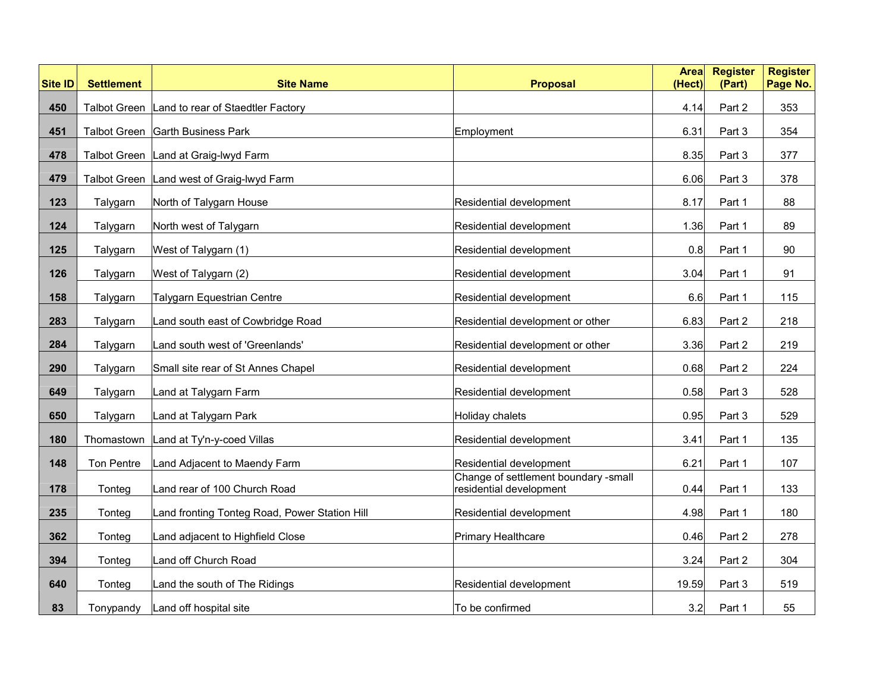| <b>Site ID</b> | <b>Settlement</b>   | <b>Site Name</b>                               | <b>Proposal</b>                                                 | <b>Area</b><br>(Hect) | <b>Register</b><br>(Part) | <b>Register</b><br>Page No. |
|----------------|---------------------|------------------------------------------------|-----------------------------------------------------------------|-----------------------|---------------------------|-----------------------------|
| 450            |                     | Talbot Green Land to rear of Staedtler Factory |                                                                 | 4.14                  | Part 2                    | 353                         |
| 451            |                     | Talbot Green Garth Business Park               | Employment                                                      | 6.31                  | Part 3                    | 354                         |
| 478            |                     | Talbot Green   Land at Graig-lwyd Farm         |                                                                 | 8.35                  | Part 3                    | 377                         |
| 479            | <b>Talbot Green</b> | Land west of Graig-lwyd Farm                   |                                                                 | 6.06                  | Part 3                    | 378                         |
| 123            | Talygarn            | North of Talygarn House                        | Residential development                                         | 8.17                  | Part 1                    | 88                          |
| 124            | Talygarn            | North west of Talygarn                         | Residential development                                         | 1.36                  | Part 1                    | 89                          |
| 125            | Talygarn            | West of Talygarn (1)                           | Residential development                                         | 0.8                   | Part 1                    | 90                          |
| 126            | Talygarn            | West of Talygarn (2)                           | Residential development                                         | 3.04                  | Part 1                    | 91                          |
| 158            | Talygarn            | <b>Talygarn Equestrian Centre</b>              | Residential development                                         | 6.6                   | Part 1                    | 115                         |
| 283            | Talygarn            | Land south east of Cowbridge Road              | Residential development or other                                | 6.83                  | Part 2                    | 218                         |
| 284            | Talygarn            | Land south west of 'Greenlands'                | Residential development or other                                | 3.36                  | Part 2                    | 219                         |
| 290            | Talygarn            | Small site rear of St Annes Chapel             | Residential development                                         | 0.68                  | Part 2                    | 224                         |
| 649            | Talygarn            | Land at Talygarn Farm                          | Residential development                                         | 0.58                  | Part 3                    | 528                         |
| 650            | Talygarn            | Land at Talygarn Park                          | Holiday chalets                                                 | 0.95                  | Part 3                    | 529                         |
| 180            | Thomastown          | Land at Ty'n-y-coed Villas                     | Residential development                                         | 3.41                  | Part 1                    | 135                         |
| 148            | Ton Pentre          | Land Adjacent to Maendy Farm                   | Residential development                                         | 6.21                  | Part 1                    | 107                         |
| 178            | Tonteg              | Land rear of 100 Church Road                   | Change of settlement boundary -small<br>residential development | 0.44                  | Part 1                    | 133                         |
| 235            | Tonteg              | Land fronting Tonteg Road, Power Station Hill  | Residential development                                         | 4.98                  | Part 1                    | 180                         |
| 362            | Tonteg              | Land adjacent to Highfield Close               | <b>Primary Healthcare</b>                                       | 0.46                  | Part 2                    | 278                         |
| 394            | Tonteg              | Land off Church Road                           |                                                                 | 3.24                  | Part 2                    | 304                         |
| 640            | Tonteg              | Land the south of The Ridings                  | Residential development                                         | 19.59                 | Part 3                    | 519                         |
| 83             | Tonypandy           | Land off hospital site                         | To be confirmed                                                 | 3.2                   | Part 1                    | 55                          |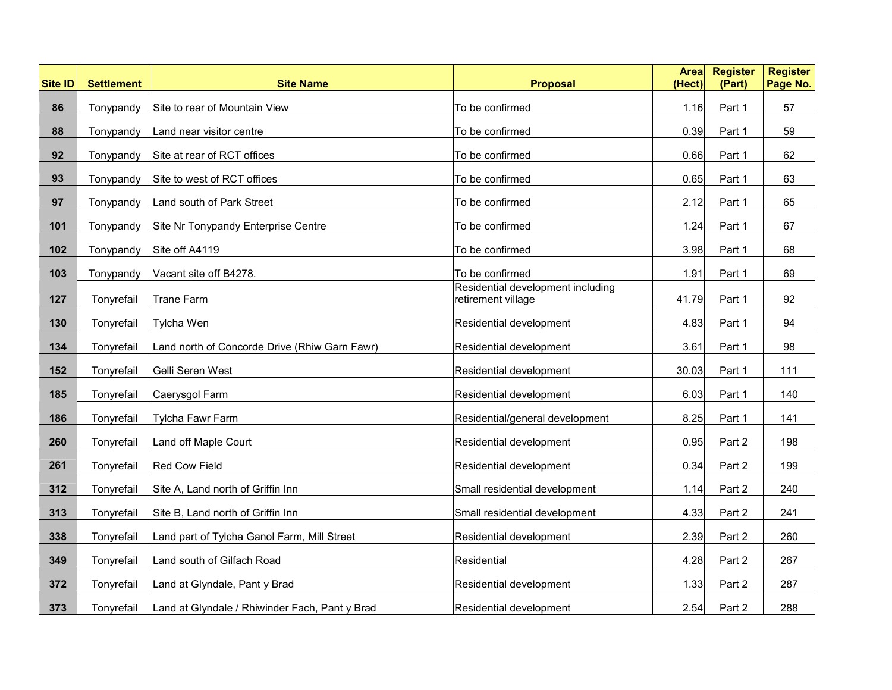| <b>Site ID</b> | <b>Settlement</b> | <b>Site Name</b>                               | <b>Proposal</b>                                         | <b>Area</b><br>(Hect) | <b>Register</b><br>(Part) | <b>Register</b><br>Page No. |
|----------------|-------------------|------------------------------------------------|---------------------------------------------------------|-----------------------|---------------------------|-----------------------------|
| 86             | Tonypandy         | Site to rear of Mountain View                  | To be confirmed                                         | 1.16                  | Part 1                    | 57                          |
| 88             | Tonypandy         | Land near visitor centre                       | To be confirmed                                         | 0.39                  | Part 1                    | 59                          |
| 92             | Tonypandy         | Site at rear of RCT offices                    | To be confirmed                                         | 0.66                  | Part 1                    | 62                          |
| 93             | Tonypandy         | Site to west of RCT offices                    | To be confirmed                                         | 0.65                  | Part 1                    | 63                          |
| 97             | Tonypandy         | Land south of Park Street                      | To be confirmed                                         | 2.12                  | Part 1                    | 65                          |
| 101            | Tonypandy         | Site Nr Tonypandy Enterprise Centre            | To be confirmed                                         | 1.24                  | Part 1                    | 67                          |
| 102            | Tonypandy         | Site off A4119                                 | To be confirmed                                         | 3.98                  | Part 1                    | 68                          |
| 103            | Tonypandy         | Vacant site off B4278.                         | To be confirmed                                         | 1.91                  | Part 1                    | 69                          |
| 127            | Tonyrefail        | Trane Farm                                     | Residential development including<br>retirement village | 41.79                 | Part 1                    | 92                          |
| 130            | Tonyrefail        | <b>Tylcha Wen</b>                              | Residential development                                 | 4.83                  | Part 1                    | 94                          |
| 134            | Tonyrefail        | Land north of Concorde Drive (Rhiw Garn Fawr)  | Residential development                                 | 3.61                  | Part 1                    | 98                          |
| 152            | Tonyrefail        | Gelli Seren West                               | Residential development                                 | 30.03                 | Part 1                    | 111                         |
| 185            | Tonyrefail        | Caerysgol Farm                                 | Residential development                                 | 6.03                  | Part 1                    | 140                         |
| 186            | Tonyrefail        | <b>Tylcha Fawr Farm</b>                        | Residential/general development                         | 8.25                  | Part 1                    | 141                         |
| 260            | Tonyrefail        | Land off Maple Court                           | Residential development                                 | 0.95                  | Part 2                    | 198                         |
| 261            | Tonyrefail        | <b>Red Cow Field</b>                           | Residential development                                 | 0.34                  | Part 2                    | 199                         |
| 312            | Tonyrefail        | Site A, Land north of Griffin Inn              | Small residential development                           | 1.14                  | Part 2                    | 240                         |
| 313            | Tonyrefail        | Site B, Land north of Griffin Inn              | Small residential development                           | 4.33                  | Part 2                    | 241                         |
| 338            | Tonyrefail        | Land part of Tylcha Ganol Farm, Mill Street    | Residential development                                 | 2.39                  | Part 2                    | 260                         |
| 349            | Tonyrefail        | Land south of Gilfach Road                     | Residential                                             | 4.28                  | Part 2                    | 267                         |
| 372            | Tonyrefail        | Land at Glyndale, Pant y Brad                  | Residential development                                 | 1.33                  | Part 2                    | 287                         |
| 373            | Tonyrefail        | Land at Glyndale / Rhiwinder Fach, Pant y Brad | Residential development                                 | 2.54                  | Part 2                    | 288                         |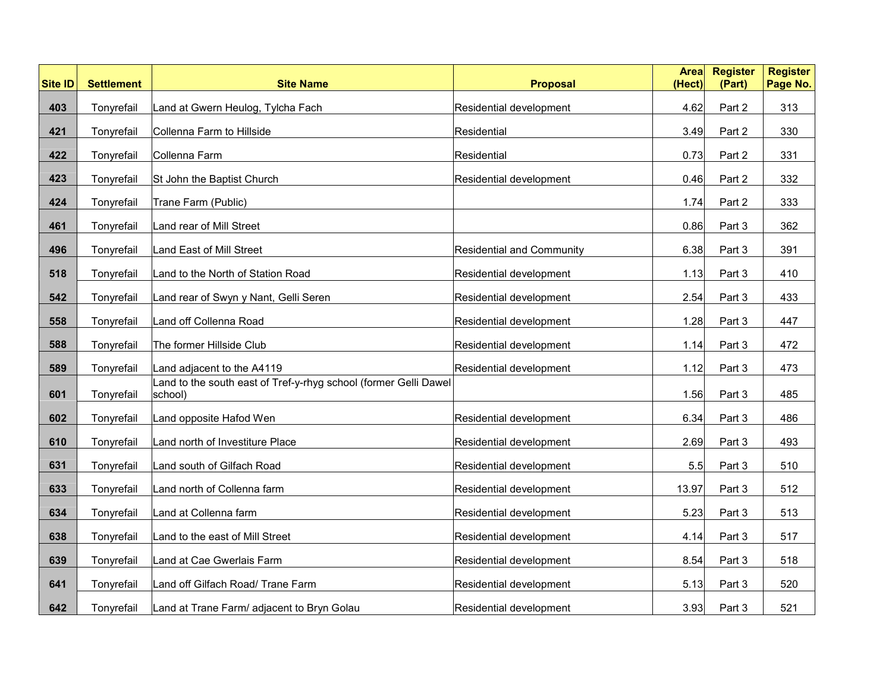| <b>Site ID</b> | <b>Settlement</b> | <b>Site Name</b>                                                           | <b>Proposal</b>                  | <b>Area</b><br>(Hect) | <b>Register</b><br>(Part) | <b>Register</b><br>Page No. |
|----------------|-------------------|----------------------------------------------------------------------------|----------------------------------|-----------------------|---------------------------|-----------------------------|
| 403            | Tonyrefail        | Land at Gwern Heulog, Tylcha Fach                                          | Residential development          | 4.62                  | Part 2                    | 313                         |
| 421            | Tonyrefail        | Collenna Farm to Hillside                                                  | Residential                      | 3.49                  | Part 2                    | 330                         |
| 422            | Tonyrefail        | Collenna Farm                                                              | Residential                      | 0.73                  | Part 2                    | 331                         |
| 423            | Tonyrefail        | St John the Baptist Church                                                 | Residential development          | 0.46                  | Part 2                    | 332                         |
| 424            | Tonyrefail        | Trane Farm (Public)                                                        |                                  | 1.74                  | Part 2                    | 333                         |
| 461            | Tonyrefail        | Land rear of Mill Street                                                   |                                  | 0.86                  | Part 3                    | 362                         |
| 496            | Tonyrefail        | Land East of Mill Street                                                   | <b>Residential and Community</b> | 6.38                  | Part 3                    | 391                         |
| 518            | Tonyrefail        | Land to the North of Station Road                                          | Residential development          | 1.13                  | Part 3                    | 410                         |
| 542            | Tonyrefail        | Land rear of Swyn y Nant, Gelli Seren                                      | Residential development          | 2.54                  | Part 3                    | 433                         |
| 558            | Tonyrefail        | Land off Collenna Road                                                     | Residential development          | 1.28                  | Part 3                    | 447                         |
| 588            | Tonyrefail        | The former Hillside Club                                                   | Residential development          | 1.14                  | Part 3                    | 472                         |
| 589            | Tonyrefail        | Land adjacent to the A4119                                                 | Residential development          | 1.12                  | Part 3                    | 473                         |
| 601            | Tonyrefail        | and to the south east of Tref-y-rhyg school (former Gelli Dawel<br>school) |                                  | 1.56                  | Part 3                    | 485                         |
| 602            | Tonyrefail        | Land opposite Hafod Wen                                                    | Residential development          | 6.34                  | Part 3                    | 486                         |
| 610            | Tonyrefail        | Land north of Investiture Place                                            | Residential development          | 2.69                  | Part 3                    | 493                         |
| 631            | Tonyrefail        | Land south of Gilfach Road                                                 | Residential development          | 5.5                   | Part 3                    | 510                         |
| 633            | Tonyrefail        | Land north of Collenna farm                                                | Residential development          | 13.97                 | Part 3                    | 512                         |
| 634            | Tonyrefail        | Land at Collenna farm                                                      | Residential development          | 5.23                  | Part 3                    | 513                         |
| 638            | Tonyrefail        | Land to the east of Mill Street                                            | Residential development          | 4.14                  | Part 3                    | 517                         |
| 639            | Tonyrefail        | Land at Cae Gwerlais Farm                                                  | Residential development          | 8.54                  | Part 3                    | 518                         |
| 641            | Tonyrefail        | Land off Gilfach Road/ Trane Farm                                          | Residential development          | 5.13                  | Part 3                    | 520                         |
| 642            | Tonyrefail        | Land at Trane Farm/ adjacent to Bryn Golau                                 | Residential development          | 3.93                  | Part 3                    | 521                         |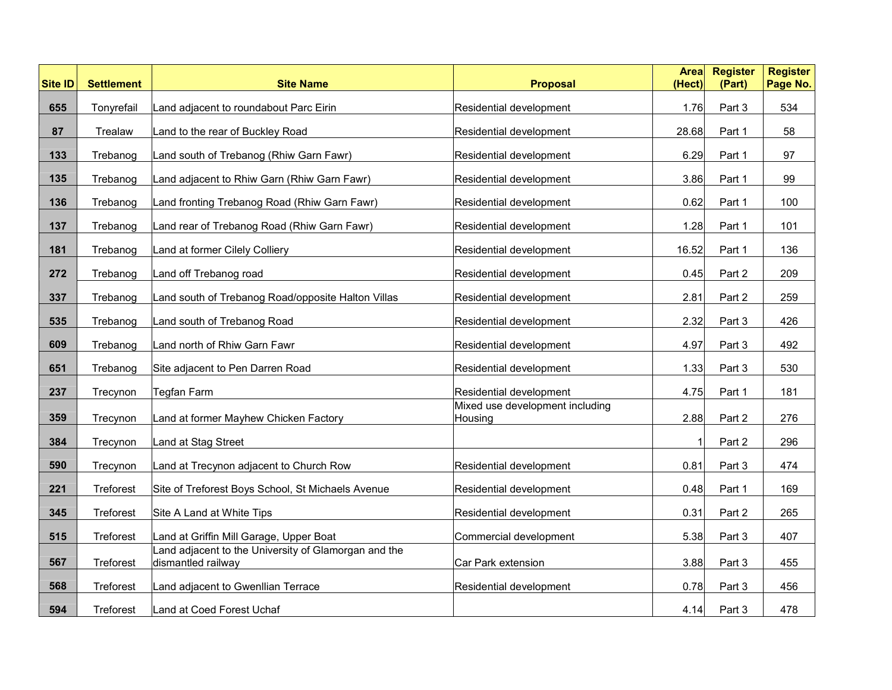| <b>Site ID</b> | <b>Settlement</b> | <b>Site Name</b>                                                           | <b>Proposal</b>                            | <b>Area</b><br>(Hect) | <b>Register</b><br>(Part) | <b>Register</b><br>Page No. |
|----------------|-------------------|----------------------------------------------------------------------------|--------------------------------------------|-----------------------|---------------------------|-----------------------------|
| 655            | Tonyrefail        | Land adjacent to roundabout Parc Eirin                                     | Residential development                    | 1.76                  | Part 3                    | 534                         |
| 87             | Trealaw           | Land to the rear of Buckley Road                                           | Residential development                    | 28.68                 | Part 1                    | 58                          |
| 133            | Trebanog          | Land south of Trebanog (Rhiw Garn Fawr)                                    | Residential development                    | 6.29                  | Part 1                    | 97                          |
| 135            | Trebanog          | Land adjacent to Rhiw Garn (Rhiw Garn Fawr)                                | Residential development                    | 3.86                  | Part 1                    | 99                          |
| 136            | Trebanog          | Land fronting Trebanog Road (Rhiw Garn Fawr)                               | Residential development                    | 0.62                  | Part 1                    | 100                         |
| 137            | Trebanog          | Land rear of Trebanog Road (Rhiw Garn Fawr)                                | Residential development                    | 1.28                  | Part 1                    | 101                         |
| 181            | Trebanog          | Land at former Cilely Colliery                                             | Residential development                    | 16.52                 | Part 1                    | 136                         |
| 272            | Trebanog          | Land off Trebanog road                                                     | Residential development                    | 0.45                  | Part 2                    | 209                         |
| 337            | Trebanog          | Land south of Trebanog Road/opposite Halton Villas                         | Residential development                    | 2.81                  | Part 2                    | 259                         |
| 535            | Trebanog          | Land south of Trebanog Road                                                | Residential development                    | 2.32                  | Part 3                    | 426                         |
| 609            | Trebanog          | Land north of Rhiw Garn Fawr                                               | Residential development                    | 4.97                  | Part 3                    | 492                         |
| 651            | Trebanog          | Site adjacent to Pen Darren Road                                           | Residential development                    | 1.33                  | Part 3                    | 530                         |
| 237            | Trecynon          | <b>Tegfan Farm</b>                                                         | Residential development                    | 4.75                  | Part 1                    | 181                         |
| 359            | Trecynon          | Land at former Mayhew Chicken Factory                                      | Mixed use development including<br>Housing | 2.88                  | Part 2                    | 276                         |
| 384            | Trecynon          | Land at Stag Street                                                        |                                            |                       | Part 2                    | 296                         |
| 590            | Trecynon          | Land at Trecynon adjacent to Church Row                                    | Residential development                    | 0.81                  | Part 3                    | 474                         |
| 221            | <b>Treforest</b>  | Site of Treforest Boys School, St Michaels Avenue                          | Residential development                    | 0.48                  | Part 1                    | 169                         |
| 345            | Treforest         | Site A Land at White Tips                                                  | Residential development                    | 0.31                  | Part 2                    | 265                         |
| 515            | <b>Treforest</b>  | Land at Griffin Mill Garage, Upper Boat                                    | Commercial development                     | 5.38                  | Part 3                    | 407                         |
| 567            | <b>Treforest</b>  | Land adjacent to the University of Glamorgan and the<br>dismantled railway | Car Park extension                         | 3.88                  | Part 3                    | 455                         |
| 568            | <b>Treforest</b>  | Land adjacent to Gwenllian Terrace                                         | Residential development                    | 0.78                  | Part 3                    | 456                         |
| 594            | <b>Treforest</b>  | Land at Coed Forest Uchaf                                                  |                                            | 4.14                  | Part 3                    | 478                         |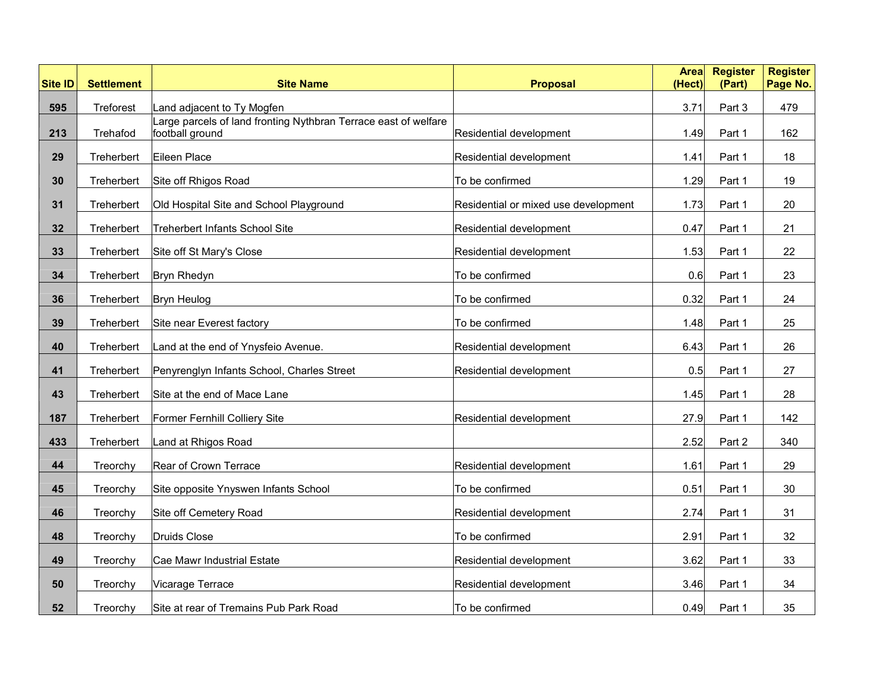| <b>Site ID</b> | <b>Settlement</b> | <b>Site Name</b>                                                                   | <b>Proposal</b>                      | <b>Area</b><br>(Hect) | <b>Register</b><br>(Part) | <b>Register</b><br>Page No. |
|----------------|-------------------|------------------------------------------------------------------------------------|--------------------------------------|-----------------------|---------------------------|-----------------------------|
| 595            | Treforest         | Land adjacent to Ty Mogfen                                                         |                                      | 3.71                  | Part 3                    | 479                         |
| 213            | Trehafod          | Large parcels of land fronting Nythbran Terrace east of welfare<br>football ground | Residential development              | 1.49                  | Part 1                    | 162                         |
| 29             | Treherbert        | Eileen Place                                                                       | Residential development              | 1.41                  | Part 1                    | 18                          |
| 30             | Treherbert        | Site off Rhigos Road                                                               | To be confirmed                      | 1.29                  | Part 1                    | 19                          |
| 31             | Treherbert        | Old Hospital Site and School Playground                                            | Residential or mixed use development | 1.73                  | Part 1                    | 20                          |
| 32             | Treherbert        | <b>Treherbert Infants School Site</b>                                              | Residential development              | 0.47                  | Part 1                    | 21                          |
| 33             | Treherbert        | Site off St Mary's Close                                                           | Residential development              | 1.53                  | Part 1                    | 22                          |
| 34             | Treherbert        | Bryn Rhedyn                                                                        | To be confirmed                      | 0.6                   | Part 1                    | 23                          |
| 36             | Treherbert        | <b>Bryn Heulog</b>                                                                 | To be confirmed                      | 0.32                  | Part 1                    | 24                          |
| 39             | Treherbert        | Site near Everest factory                                                          | To be confirmed                      | 1.48                  | Part 1                    | 25                          |
| 40             | Treherbert        | Land at the end of Ynysfeio Avenue.                                                | Residential development              | 6.43                  | Part 1                    | 26                          |
| 41             | Treherbert        | Penyrenglyn Infants School, Charles Street                                         | Residential development              | 0.5                   | Part 1                    | 27                          |
| 43             | Treherbert        | Site at the end of Mace Lane                                                       |                                      | 1.45                  | Part 1                    | 28                          |
| 187            | Treherbert        | Former Fernhill Colliery Site                                                      | Residential development              | 27.9                  | Part 1                    | 142                         |
| 433            | Treherbert        | Land at Rhigos Road                                                                |                                      | 2.52                  | Part 2                    | 340                         |
| 44             | Treorchy          | Rear of Crown Terrace                                                              | Residential development              | 1.61                  | Part 1                    | 29                          |
| 45             | Treorchy          | Site opposite Ynyswen Infants School                                               | To be confirmed                      | 0.51                  | Part 1                    | 30                          |
| 46             | Treorchy          | Site off Cemetery Road                                                             | Residential development              | 2.74                  | Part 1                    | 31                          |
| 48             | Treorchy          | Druids Close                                                                       | To be confirmed                      | 2.91                  | Part 1                    | 32                          |
| 49             | Treorchy          | Cae Mawr Industrial Estate                                                         | Residential development              | 3.62                  | Part 1                    | 33                          |
| 50             | Treorchy          | Vicarage Terrace                                                                   | Residential development              | 3.46                  | Part 1                    | 34                          |
| 52             | Treorchy          | Site at rear of Tremains Pub Park Road                                             | To be confirmed                      | 0.49                  | Part 1                    | 35                          |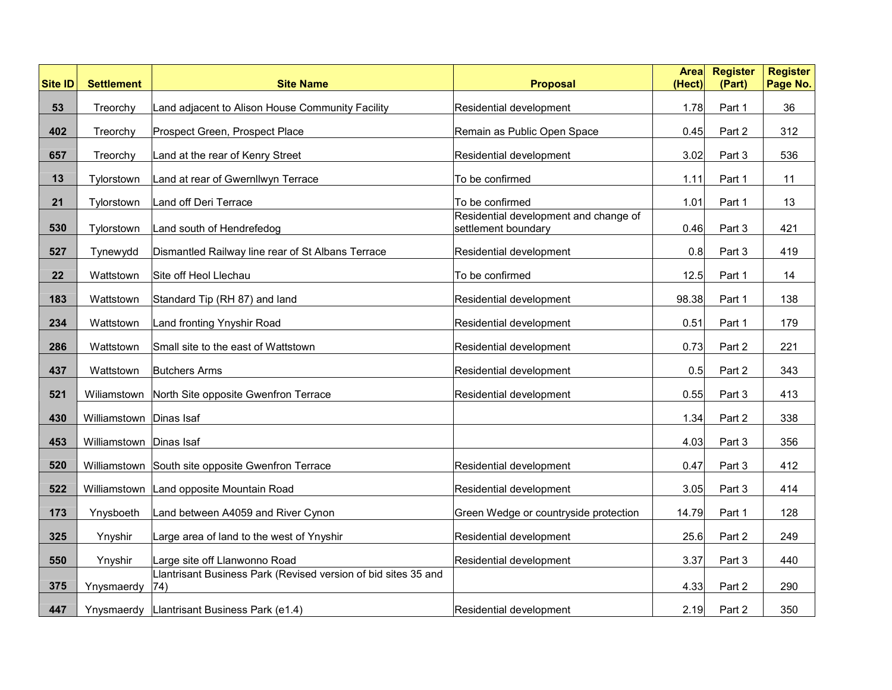| <b>Site ID</b> | <b>Settlement</b>       | <b>Site Name</b>                                               | <b>Proposal</b>                                              | <b>Area</b><br>(Hect) | <b>Register</b><br>(Part) | <b>Register</b><br>Page No. |
|----------------|-------------------------|----------------------------------------------------------------|--------------------------------------------------------------|-----------------------|---------------------------|-----------------------------|
| 53             | Treorchy                | Land adjacent to Alison House Community Facility               | Residential development                                      | 1.78                  | Part 1                    | 36                          |
| 402            | Treorchy                | Prospect Green, Prospect Place                                 | Remain as Public Open Space                                  | 0.45                  | Part 2                    | 312                         |
| 657            | Treorchy                | Land at the rear of Kenry Street                               | Residential development                                      | 3.02                  | Part 3                    | 536                         |
| 13             | Tylorstown              | Land at rear of Gwernllwyn Terrace                             | To be confirmed                                              | 1.11                  | Part 1                    | 11                          |
| 21             | Tylorstown              | Land off Deri Terrace                                          | To be confirmed                                              | 1.01                  | Part 1                    | 13                          |
| 530            | Tylorstown              | Land south of Hendrefedog                                      | Residential development and change of<br>settlement boundary | 0.46                  | Part 3                    | 421                         |
| 527            | Tynewydd                | Dismantled Railway line rear of St Albans Terrace              | Residential development                                      | 0.8                   | Part 3                    | 419                         |
| 22             | Wattstown               | Site off Heol Llechau                                          | To be confirmed                                              | 12.5                  | Part 1                    | 14                          |
| 183            | Wattstown               | Standard Tip (RH 87) and land                                  | Residential development                                      | 98.38                 | Part 1                    | 138                         |
| 234            | Wattstown               | Land fronting Ynyshir Road                                     | Residential development                                      | 0.51                  | Part 1                    | 179                         |
| 286            | Wattstown               | Small site to the east of Wattstown                            | Residential development                                      | 0.73                  | Part 2                    | 221                         |
| 437            | Wattstown               | <b>Butchers Arms</b>                                           | Residential development                                      | 0.5                   | Part 2                    | 343                         |
| 521            | Wiliamstown             | North Site opposite Gwenfron Terrace                           | Residential development                                      | 0.55                  | Part 3                    | 413                         |
| 430            | Williamstown Dinas Isaf |                                                                |                                                              | 1.34                  | Part 2                    | 338                         |
| 453            | Williamstown Dinas Isaf |                                                                |                                                              | 4.03                  | Part 3                    | 356                         |
| 520            |                         | Williamstown South site opposite Gwenfron Terrace              | Residential development                                      | 0.47                  | Part 3                    | 412                         |
| 522            |                         | Williamstown   Land opposite Mountain Road                     | Residential development                                      | 3.05                  | Part 3                    | 414                         |
| 173            | Ynysboeth               | Land between A4059 and River Cynon                             | Green Wedge or countryside protection                        | 14.79                 | Part 1                    | 128                         |
| 325            | Ynyshir                 | Large area of land to the west of Ynyshir                      | Residential development                                      | 25.6                  | Part 2                    | 249                         |
| 550            | Ynyshir                 | Large site off Llanwonno Road                                  | Residential development                                      | 3.37                  | Part 3                    | 440                         |
| 375            | Ynysmaerdy 74)          | Llantrisant Business Park (Revised version of bid sites 35 and |                                                              | 4.33                  | Part 2                    | 290                         |
| 447            |                         | Ynysmaerdy   Llantrisant Business Park (e1.4)                  | Residential development                                      | 2.19                  | Part 2                    | 350                         |